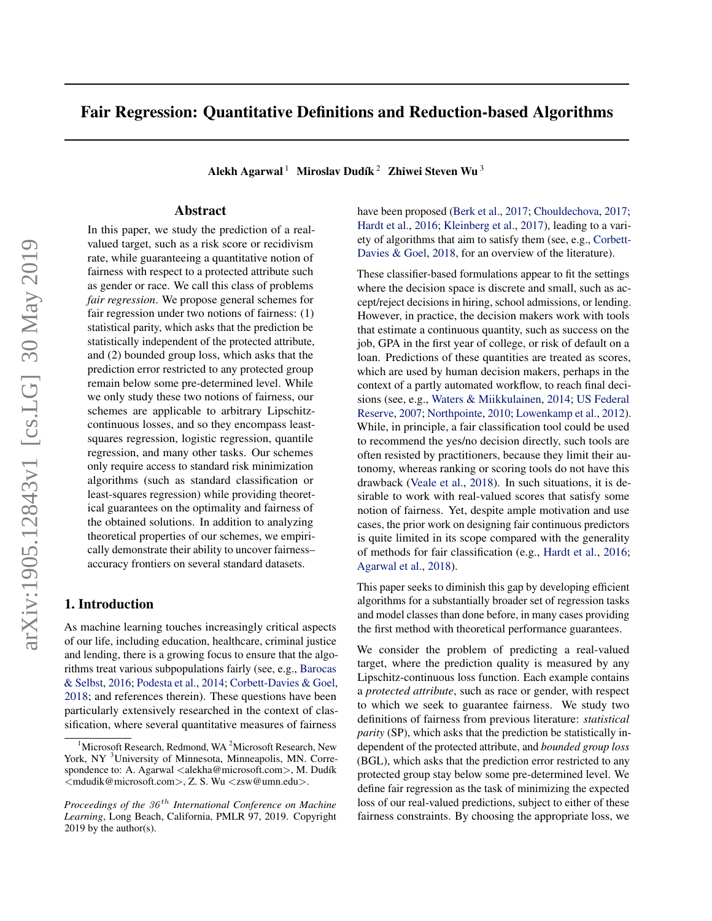# Fair Regression: Quantitative Definitions and Reduction-based Algorithms

Alekh Agarwal<sup>1</sup> Miroslav Dudík<sup>2</sup> Zhiwei Steven Wu<sup>3</sup>

### Abstract

In this paper, we study the prediction of a realvalued target, such as a risk score or recidivism rate, while guaranteeing a quantitative notion of fairness with respect to a protected attribute such as gender or race. We call this class of problems *fair regression*. We propose general schemes for fair regression under two notions of fairness: (1) statistical parity, which asks that the prediction be statistically independent of the protected attribute, and (2) bounded group loss, which asks that the prediction error restricted to any protected group remain below some pre-determined level. While we only study these two notions of fairness, our schemes are applicable to arbitrary Lipschitzcontinuous losses, and so they encompass leastsquares regression, logistic regression, quantile regression, and many other tasks. Our schemes only require access to standard risk minimization algorithms (such as standard classification or least-squares regression) while providing theoretical guarantees on the optimality and fairness of the obtained solutions. In addition to analyzing theoretical properties of our schemes, we empirically demonstrate their ability to uncover fairness– accuracy frontiers on several standard datasets.

### 1. Introduction

As machine learning touches increasingly critical aspects of our life, including education, healthcare, criminal justice and lending, there is a growing focus to ensure that the algorithms treat various subpopulations fairly (see, e.g., [Barocas](#page-8-0) [& Selbst,](#page-8-0) [2016;](#page-8-0) [Podesta et al.,](#page-9-0) [2014;](#page-9-0) [Corbett-Davies & Goel,](#page-8-0) [2018;](#page-8-0) and references therein). These questions have been particularly extensively researched in the context of classification, where several quantitative measures of fairness

have been proposed [\(Berk et al.,](#page-8-0) [2017;](#page-8-0) [Chouldechova,](#page-8-0) [2017;](#page-8-0) [Hardt et al.,](#page-8-0) [2016;](#page-8-0) [Kleinberg et al.,](#page-8-0) [2017\)](#page-8-0), leading to a variety of algorithms that aim to satisfy them (see, e.g., [Corbett-](#page-8-0)[Davies & Goel,](#page-8-0) [2018,](#page-8-0) for an overview of the literature).

These classifier-based formulations appear to fit the settings where the decision space is discrete and small, such as accept/reject decisions in hiring, school admissions, or lending. However, in practice, the decision makers work with tools that estimate a continuous quantity, such as success on the job, GPA in the first year of college, or risk of default on a loan. Predictions of these quantities are treated as scores, which are used by human decision makers, perhaps in the context of a partly automated workflow, to reach final decisions (see, e.g., [Waters & Miikkulainen,](#page-9-0) [2014;](#page-9-0) [US Federal](#page-9-0) [Reserve,](#page-9-0) [2007;](#page-9-0) [Northpointe,](#page-9-0) [2010;](#page-9-0) [Lowenkamp et al.,](#page-9-0) [2012\)](#page-9-0). While, in principle, a fair classification tool could be used to recommend the yes/no decision directly, such tools are often resisted by practitioners, because they limit their autonomy, whereas ranking or scoring tools do not have this drawback [\(Veale et al.,](#page-9-0) [2018\)](#page-9-0). In such situations, it is desirable to work with real-valued scores that satisfy some notion of fairness. Yet, despite ample motivation and use cases, the prior work on designing fair continuous predictors is quite limited in its scope compared with the generality of methods for fair classification (e.g., [Hardt et al.,](#page-8-0) [2016;](#page-8-0) [Agarwal et al.,](#page-8-0) [2018\)](#page-8-0).

This paper seeks to diminish this gap by developing efficient algorithms for a substantially broader set of regression tasks and model classes than done before, in many cases providing the first method with theoretical performance guarantees.

We consider the problem of predicting a real-valued target, where the prediction quality is measured by any Lipschitz-continuous loss function. Each example contains a *protected attribute*, such as race or gender, with respect to which we seek to guarantee fairness. We study two definitions of fairness from previous literature: *statistical parity* (SP), which asks that the prediction be statistically independent of the protected attribute, and *bounded group loss* (BGL), which asks that the prediction error restricted to any protected group stay below some pre-determined level. We define fair regression as the task of minimizing the expected loss of our real-valued predictions, subject to either of these fairness constraints. By choosing the appropriate loss, we

<sup>&</sup>lt;sup>1</sup>Microsoft Research, Redmond, WA <sup>2</sup>Microsoft Research, New York, NY <sup>3</sup>University of Minnesota, Minneapolis, MN. Correspondence to: A. Agarwal <alekha@microsoft.com>, M. Dudík <mdudik@microsoft.com>, Z. S. Wu <zsw@umn.edu>.

*Proceedings of the*  $36<sup>th</sup>$  *International Conference on Machine Learning*, Long Beach, California, PMLR 97, 2019. Copyright  $2019$  by the author(s).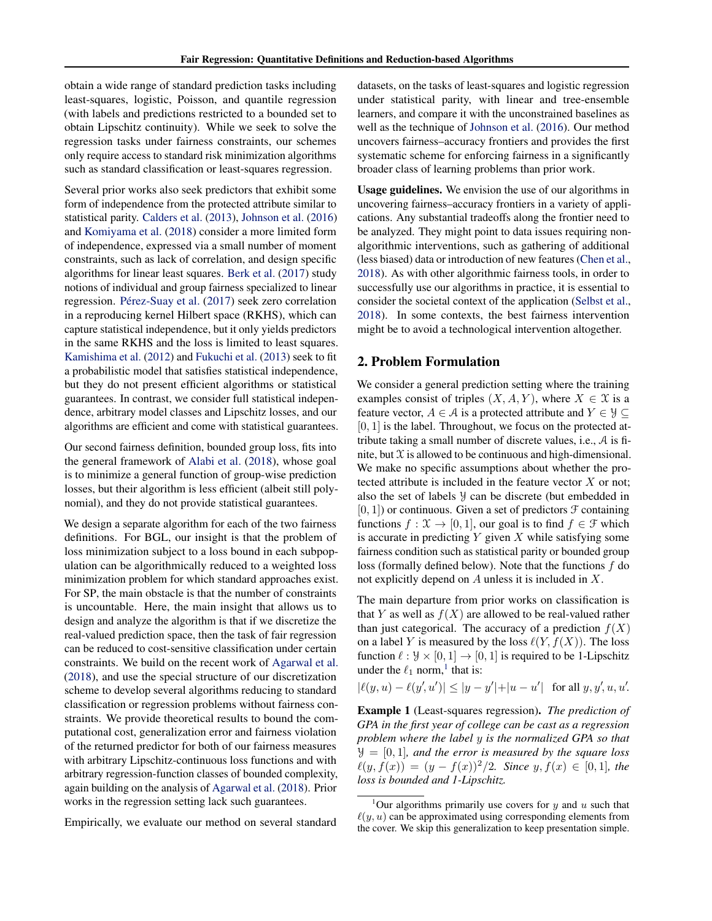obtain a wide range of standard prediction tasks including least-squares, logistic, Poisson, and quantile regression (with labels and predictions restricted to a bounded set to obtain Lipschitz continuity). While we seek to solve the regression tasks under fairness constraints, our schemes only require access to standard risk minimization algorithms such as standard classification or least-squares regression.

Several prior works also seek predictors that exhibit some form of independence from the protected attribute similar to statistical parity. [Calders et al.](#page-8-0) [\(2013\)](#page-8-0), [Johnson et al.](#page-8-0) [\(2016\)](#page-8-0) and [Komiyama et al.](#page-8-0) [\(2018\)](#page-8-0) consider a more limited form of independence, expressed via a small number of moment constraints, such as lack of correlation, and design specific algorithms for linear least squares. [Berk et al.](#page-8-0) [\(2017\)](#page-8-0) study notions of individual and group fairness specialized to linear regression. Pérez-Suay et al. [\(2017\)](#page-9-0) seek zero correlation in a reproducing kernel Hilbert space (RKHS), which can capture statistical independence, but it only yields predictors in the same RKHS and the loss is limited to least squares. [Kamishima et al.](#page-8-0) [\(2012\)](#page-8-0) and [Fukuchi et al.](#page-8-0) [\(2013\)](#page-8-0) seek to fit a probabilistic model that satisfies statistical independence, but they do not present efficient algorithms or statistical guarantees. In contrast, we consider full statistical independence, arbitrary model classes and Lipschitz losses, and our algorithms are efficient and come with statistical guarantees.

Our second fairness definition, bounded group loss, fits into the general framework of [Alabi et al.](#page-8-0) [\(2018\)](#page-8-0), whose goal is to minimize a general function of group-wise prediction losses, but their algorithm is less efficient (albeit still polynomial), and they do not provide statistical guarantees.

We design a separate algorithm for each of the two fairness definitions. For BGL, our insight is that the problem of loss minimization subject to a loss bound in each subpopulation can be algorithmically reduced to a weighted loss minimization problem for which standard approaches exist. For SP, the main obstacle is that the number of constraints is uncountable. Here, the main insight that allows us to design and analyze the algorithm is that if we discretize the real-valued prediction space, then the task of fair regression can be reduced to cost-sensitive classification under certain constraints. We build on the recent work of [Agarwal et al.](#page-8-0) [\(2018\)](#page-8-0), and use the special structure of our discretization scheme to develop several algorithms reducing to standard classification or regression problems without fairness constraints. We provide theoretical results to bound the computational cost, generalization error and fairness violation of the returned predictor for both of our fairness measures with arbitrary Lipschitz-continuous loss functions and with arbitrary regression-function classes of bounded complexity, again building on the analysis of [Agarwal et al.](#page-8-0) [\(2018\)](#page-8-0). Prior works in the regression setting lack such guarantees.

Empirically, we evaluate our method on several standard

datasets, on the tasks of least-squares and logistic regression under statistical parity, with linear and tree-ensemble learners, and compare it with the unconstrained baselines as well as the technique of [Johnson et al.](#page-8-0) [\(2016\)](#page-8-0). Our method uncovers fairness–accuracy frontiers and provides the first systematic scheme for enforcing fairness in a significantly broader class of learning problems than prior work.

Usage guidelines. We envision the use of our algorithms in uncovering fairness–accuracy frontiers in a variety of applications. Any substantial tradeoffs along the frontier need to be analyzed. They might point to data issues requiring nonalgorithmic interventions, such as gathering of additional (less biased) data or introduction of new features [\(Chen et al.,](#page-8-0) [2018\)](#page-8-0). As with other algorithmic fairness tools, in order to successfully use our algorithms in practice, it is essential to consider the societal context of the application [\(Selbst et al.,](#page-9-0) [2018\)](#page-9-0). In some contexts, the best fairness intervention might be to avoid a technological intervention altogether.

### 2. Problem Formulation

We consider a general prediction setting where the training examples consist of triples  $(X, A, Y)$ , where  $X \in \mathfrak{X}$  is a feature vector,  $A \in \mathcal{A}$  is a protected attribute and  $Y \in \mathcal{Y} \subseteq$  $[0, 1]$  is the label. Throughout, we focus on the protected attribute taking a small number of discrete values, i.e., A is finite, but  $\mathfrak X$  is allowed to be continuous and high-dimensional. We make no specific assumptions about whether the protected attribute is included in the feature vector  $X$  or not; also the set of labels Y can be discrete (but embedded in  $[0, 1]$ ) or continuous. Given a set of predictors  $\mathcal F$  containing functions  $f: \mathfrak{X} \to [0,1]$ , our goal is to find  $f \in \mathfrak{F}$  which is accurate in predicting  $Y$  given  $X$  while satisfying some fairness condition such as statistical parity or bounded group loss (formally defined below). Note that the functions f do not explicitly depend on  $A$  unless it is included in  $X$ .

The main departure from prior works on classification is that Y as well as  $f(X)$  are allowed to be real-valued rather than just categorical. The accuracy of a prediction  $f(X)$ on a label Y is measured by the loss  $\ell(Y, f(X))$ . The loss function  $\ell : \mathcal{Y} \times [0, 1] \to [0, 1]$  is required to be 1-Lipschitz under the  $\ell_1$  norm,<sup>1</sup> that is:

 $|\ell(y, u) - \ell(y', u')| \le |y - y'| + |u - u'|$  for all  $y, y', u, u'$ .

Example 1 (Least-squares regression). *The prediction of GPA in the first year of college can be cast as a regression problem where the label* y *is the normalized GPA so that* Y = [0, 1]*, and the error is measured by the square loss*  $\ell(y, f(x)) = (y - f(x))^2/2$ *. Since*  $y, f(x) \in [0, 1]$ *, the loss is bounded and 1-Lipschitz.*

<sup>&</sup>lt;sup>1</sup>Our algorithms primarily use covers for y and u such that  $\ell(y, u)$  can be approximated using corresponding elements from the cover. We skip this generalization to keep presentation simple.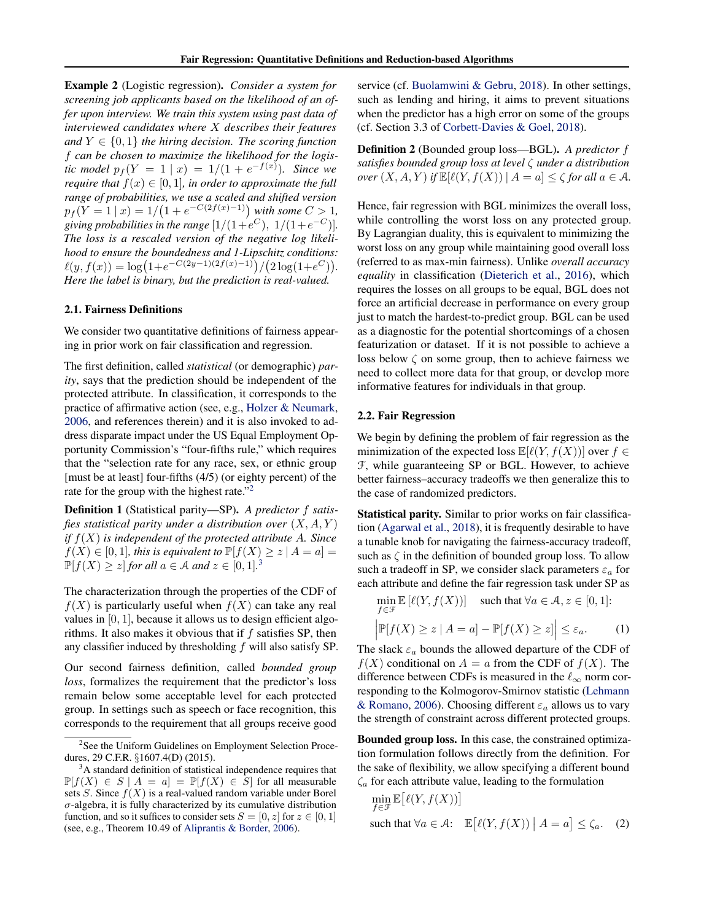<span id="page-2-0"></span>Example 2 (Logistic regression). *Consider a system for screening job applicants based on the likelihood of an offer upon interview. We train this system using past data of interviewed candidates where* X *describes their features and*  $Y \in \{0, 1\}$  *the hiring decision. The scoring function* f *can be chosen to maximize the likelihood for the logistic model*  $p_f(Y = 1 | x) = 1/(1 + e^{-f(x)})$ *. Since we require that*  $f(x) \in [0, 1]$ *, in order to approximate the full range of probabilities, we use a scaled and shifted version*  $p_f(Y = 1 | x) = 1/(1 + e^{-C(2f(x)-1)})$  with some  $C > 1$ , giving probabilities in the range  $[1/(1+e^C), 1/(1+e^{-C})]$ . *The loss is a rescaled version of the negative log likelihood to ensure the boundedness and 1-Lipschitz conditions:*  $\ell(y, f(x)) = \log(1 + e^{-C(2y-1)(2f(x)-1)})/(2\log(1+e^C)).$ *Here the label is binary, but the prediction is real-valued.*

#### 2.1. Fairness Definitions

We consider two quantitative definitions of fairness appearing in prior work on fair classification and regression.

The first definition, called *statistical* (or demographic) *parity*, says that the prediction should be independent of the protected attribute. In classification, it corresponds to the practice of affirmative action (see, e.g., [Holzer & Neumark,](#page-8-0) [2006,](#page-8-0) and references therein) and it is also invoked to address disparate impact under the US Equal Employment Opportunity Commission's "four-fifths rule," which requires that the "selection rate for any race, sex, or ethnic group [must be at least] four-fifths (4/5) (or eighty percent) of the rate for the group with the highest rate."<sup>2</sup>

Definition 1 (Statistical parity—SP). *A predictor* f *satisfies statistical parity under a distribution over*  $(X, A, Y)$ *if* f(X) *is independent of the protected attribute* A*. Since*  $f(X) \in [0,1]$ , this is equivalent to  $\mathbb{P}[f(X) \geq z \mid A = a] =$  $\mathbb{P}[f(X) \geq z]$  *for all*  $a \in \mathcal{A}$  *and*  $z \in [0,1]$ .

The characterization through the properties of the CDF of  $f(X)$  is particularly useful when  $f(X)$  can take any real values in  $[0, 1]$ , because it allows us to design efficient algorithms. It also makes it obvious that if  $f$  satisfies SP, then any classifier induced by thresholding  $f$  will also satisfy SP.

Our second fairness definition, called *bounded group loss*, formalizes the requirement that the predictor's loss remain below some acceptable level for each protected group. In settings such as speech or face recognition, this corresponds to the requirement that all groups receive good service (cf. [Buolamwini & Gebru,](#page-8-0) [2018\)](#page-8-0). In other settings, such as lending and hiring, it aims to prevent situations when the predictor has a high error on some of the groups (cf. Section 3.3 of [Corbett-Davies & Goel,](#page-8-0) [2018\)](#page-8-0).

Definition 2 (Bounded group loss—BGL). *A predictor* f *satisfies bounded group loss at level* ζ *under a distribution over*  $(X, A, Y)$  *if*  $\mathbb{E}[\ell(Y, f(X)) | A = a] \leq \zeta$  *for all*  $a \in \mathcal{A}$ *.* 

Hence, fair regression with BGL minimizes the overall loss, while controlling the worst loss on any protected group. By Lagrangian duality, this is equivalent to minimizing the worst loss on any group while maintaining good overall loss (referred to as max-min fairness). Unlike *overall accuracy equality* in classification [\(Dieterich et al.,](#page-8-0) [2016\)](#page-8-0), which requires the losses on all groups to be equal, BGL does not force an artificial decrease in performance on every group just to match the hardest-to-predict group. BGL can be used as a diagnostic for the potential shortcomings of a chosen featurization or dataset. If it is not possible to achieve a loss below  $\zeta$  on some group, then to achieve fairness we need to collect more data for that group, or develop more informative features for individuals in that group.

#### 2.2. Fair Regression

We begin by defining the problem of fair regression as the minimization of the expected loss  $\mathbb{E}[\ell(Y, f(X))]$  over  $f \in$ F, while guaranteeing SP or BGL. However, to achieve better fairness–accuracy tradeoffs we then generalize this to the case of randomized predictors.

Statistical parity. Similar to prior works on fair classification [\(Agarwal et al.,](#page-8-0) [2018\)](#page-8-0), it is frequently desirable to have a tunable knob for navigating the fairness-accuracy tradeoff, such as  $\zeta$  in the definition of bounded group loss. To allow such a tradeoff in SP, we consider slack parameters  $\varepsilon_a$  for each attribute and define the fair regression task under SP as

$$
\min_{f \in \mathcal{F}} \mathbb{E} \left[ \ell(Y, f(X)) \right] \quad \text{such that } \forall a \in \mathcal{A}, z \in [0, 1]:
$$
\n
$$
\left| \mathbb{P}[f(X) \ge z \mid A = a] - \mathbb{P}[f(X) \ge z] \right| \le \varepsilon_a. \tag{1}
$$

The slack  $\varepsilon_a$  bounds the allowed departure of the CDF of  $f(X)$  conditional on  $A = a$  from the CDF of  $f(X)$ . The difference between CDFs is measured in the  $\ell_{\infty}$  norm corresponding to the Kolmogorov-Smirnov statistic [\(Lehmann](#page-8-0) [& Romano,](#page-8-0) [2006\)](#page-8-0). Choosing different  $\varepsilon_a$  allows us to vary the strength of constraint across different protected groups.

Bounded group loss. In this case, the constrained optimization formulation follows directly from the definition. For the sake of flexibility, we allow specifying a different bound  $\zeta_a$  for each attribute value, leading to the formulation

$$
\min_{f \in \mathcal{F}} \mathbb{E} \big[ \ell(Y, f(X)) \big]
$$
\nsuch that  $\forall a \in \mathcal{A}: \mathbb{E} \big[ \ell(Y, f(X)) \mid A = a \big] \leq \zeta_a.$ 

\n(2)

<sup>&</sup>lt;sup>2</sup> See the Uniform Guidelines on Employment Selection Procedures, 29 C.F.R. §1607.4(D) (2015).

<sup>&</sup>lt;sup>3</sup>A standard definition of statistical independence requires that  $\mathbb{P}[f(X) \in S \mid A = a] = \mathbb{P}[f(X) \in S]$  for all measurable sets S. Since  $f(X)$  is a real-valued random variable under Borel  $\sigma$ -algebra, it is fully characterized by its cumulative distribution function, and so it suffices to consider sets  $S = [0, z]$  for  $z \in [0, 1]$ (see, e.g., Theorem 10.49 of [Aliprantis & Border,](#page-8-0) [2006\)](#page-8-0).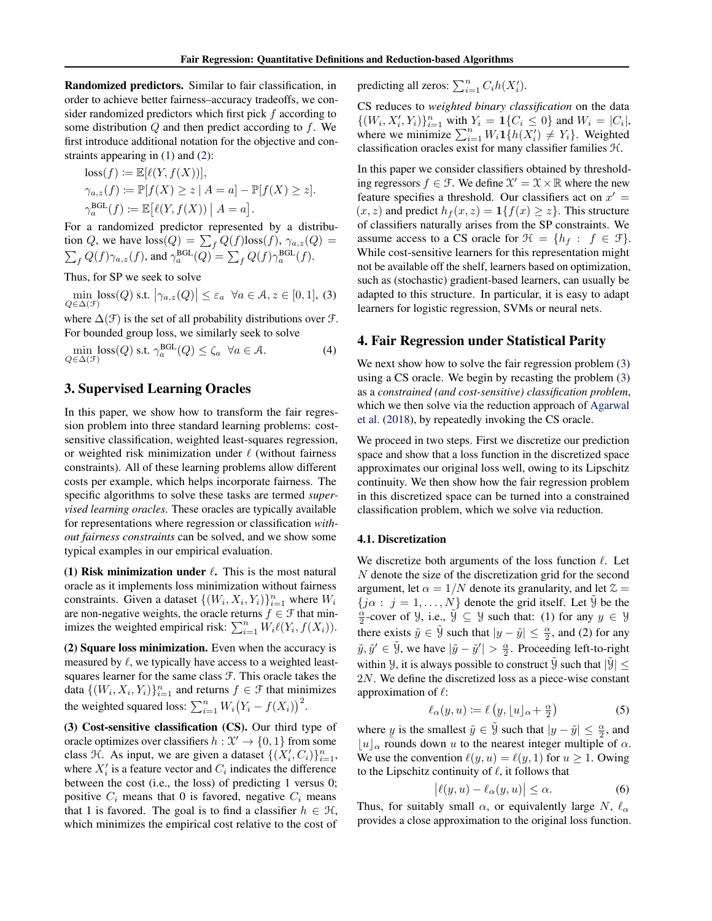<span id="page-3-0"></span>Randomized predictors. Similar to fair classification, in order to achieve better fairness–accuracy tradeoffs, we consider randomized predictors which first pick  $f$  according to some distribution  $Q$  and then predict according to  $f$ . We first introduce additional notation for the objective and constraints appearing in [\(1\)](#page-2-0) and [\(2\)](#page-2-0):

$$
loss(f) := \mathbb{E}[\ell(Y, f(X))],
$$
  
\n
$$
\gamma_{a,z}(f) := \mathbb{P}[f(X) \ge z \mid A = a] - \mathbb{P}[f(X) \ge z].
$$
  
\n
$$
\gamma_a^{\text{BGL}}(f) := \mathbb{E}[\ell(Y, f(X)) \mid A = a].
$$

For a randomized predictor represented by a distribution Q, we have  $loss(Q) = \sum_f Q(f) loss(f), \gamma_{a,z}(Q) =$  $\sum_f Q(f) \gamma_{a,z}(f)$ , and  $\gamma_a^{\text{BGL}}(Q) = \sum_f Q(f) \gamma_a^{\text{BGL}}(f)$ .

Thus, for SP we seek to solve

 $\min_{\substack{\epsilon \leq \Delta(\mathcal{F})}} \text{loss}(Q) \text{ s.t. } \big|\gamma_{a,z}(Q)\big| \leq \varepsilon_a \ \ \forall a \in \mathcal{A}, z \in [0,1], \text{ (3)}$  $Q\in\Delta(\mathcal{F})$ 

where  $\Delta(\mathcal{F})$  is the set of all probability distributions over  $\mathcal{F}$ . For bounded group loss, we similarly seek to solve

$$
\min_{Q \in \Delta(\mathcal{F})} \text{loss}(Q) \text{ s.t. } \gamma_a^{\text{BGL}}(Q) \le \zeta_a \ \forall a \in \mathcal{A}.\tag{4}
$$

### 3. Supervised Learning Oracles

In this paper, we show how to transform the fair regression problem into three standard learning problems: costsensitive classification, weighted least-squares regression, or weighted risk minimization under  $\ell$  (without fairness constraints). All of these learning problems allow different costs per example, which helps incorporate fairness. The specific algorithms to solve these tasks are termed *supervised learning oracles*. These oracles are typically available for representations where regression or classification *without fairness constraints* can be solved, and we show some typical examples in our empirical evaluation.

(1) Risk minimization under  $\ell$ . This is the most natural oracle as it implements loss minimization without fairness constraints. Given a dataset  $\{(W_i, X_i, Y_i)\}_{i=1}^n$  where  $W_i$ are non-negative weights, the oracle returns  $f \in \mathcal{F}$  that minimizes the weighted empirical risk:  $\sum_{i=1}^{n} W_i \ell(Y_i, f(X_i)).$ 

(2) Square loss minimization. Even when the accuracy is measured by  $\ell$ , we typically have access to a weighted leastsquares learner for the same class F. This oracle takes the data  $\{(W_i, X_i, Y_i)\}_{i=1}^n$  and returns  $f \in \mathcal{F}$  that minimizes the weighted squared loss:  $\sum_{i=1}^{n} W_i (Y_i - f(X_i))^2$ .

(3) Cost-sensitive classification (CS). Our third type of oracle optimizes over classifiers  $h : \mathcal{X}' \to \{0, 1\}$  from some class  $\mathcal{H}$ . As input, we are given a dataset  $\{(X'_i, C_i)\}_{i=1}^n$ , where  $X_i'$  is a feature vector and  $C_i$  indicates the difference between the cost (i.e., the loss) of predicting 1 versus 0; positive  $C_i$  means that 0 is favored, negative  $C_i$  means that 1 is favored. The goal is to find a classifier  $h \in \mathcal{H}$ , which minimizes the empirical cost relative to the cost of

predicting all zeros:  $\sum_{i=1}^{n} C_i h(X'_i)$ .

CS reduces to *weighted binary classification* on the data  $\{(W_i, X'_i, Y_i)\}_{i=1}^n$  with  $Y_i = \mathbf{1}\{C_i \leq 0\}$  and  $W_i = |C_i|$ , where we minimize  $\sum_{i=1}^{n} W_i \mathbf{1} \{ h(X_i') \neq Y_i \}$ . Weighted classification oracles exist for many classifier families H.

In this paper we consider classifiers obtained by thresholding regressors  $f \in \mathcal{F}$ . We define  $\mathcal{X}' = \mathcal{X} \times \mathbb{R}$  where the new feature specifies a threshold. Our classifiers act on  $x' =$  $(x, z)$  and predict  $h<sub>f</sub>(x, z) = \mathbf{1} \{f(x) \geq z\}$ . This structure of classifiers naturally arises from the SP constraints. We assume access to a CS oracle for  $\mathcal{H} = \{h_f : f \in \mathcal{F}\}.$ While cost-sensitive learners for this representation might not be available off the shelf, learners based on optimization, such as (stochastic) gradient-based learners, can usually be adapted to this structure. In particular, it is easy to adapt learners for logistic regression, SVMs or neural nets.

#### 4. Fair Regression under Statistical Parity

We next show how to solve the fair regression problem  $(3)$ using a CS oracle. We begin by recasting the problem (3) as a *constrained (and cost-sensitive) classification problem*, which we then solve via the reduction approach of [Agarwal](#page-8-0) [et al.](#page-8-0) [\(2018\)](#page-8-0), by repeatedly invoking the CS oracle.

We proceed in two steps. First we discretize our prediction space and show that a loss function in the discretized space approximates our original loss well, owing to its Lipschitz continuity. We then show how the fair regression problem in this discretized space can be turned into a constrained classification problem, which we solve via reduction.

#### 4.1. Discretization

We discretize both arguments of the loss function  $\ell$ . Let N denote the size of the discretization grid for the second argument, let  $\alpha = 1/N$  denote its granularity, and let  $\mathcal{Z} =$  ${j\alpha : j = 1, \ldots, N}$  denote the grid itself. Let  $\tilde{y}$  be the  $\frac{\alpha}{2}$ -cover of *Y*, i.e.,  $\widetilde{y} \subseteq Y$  such that: (1) for any  $y \in Y$ there exists  $\tilde{y} \in \tilde{Y}$  such that  $|y - \tilde{y}| \le \frac{\alpha}{2}$ , and (2) for any  $\tilde{y}, \tilde{y}' \in \tilde{Y}$ , we have  $|\tilde{y} - \tilde{y}'| > \frac{\alpha}{2}$ . Proceeding left-to-right within *Y*, it is always possible to construct  $\tilde{y}$  such that  $|\tilde{y}| \leq$ 2N. We define the discretized loss as a piece-wise constant approximation of  $\ell$ :

$$
\ell_{\alpha}(y, u) := \ell\left(y, \lfloor u \rfloor_{\alpha} + \frac{\alpha}{2}\right) \tag{5}
$$

where y is the smallest  $\tilde{y} \in \tilde{Y}$  such that  $|y - \tilde{y}| \le \frac{\alpha}{2}$ , and  $\lfloor u \rfloor_{\alpha}$  rounds down u to the nearest integer multiple of  $\alpha$ . We use the convention  $\ell(y, u) = \ell(y, 1)$  for  $u > 1$ . Owing to the Lipschitz continuity of  $\ell$ , it follows that

$$
\left| \ell(y, u) - \ell_{\alpha}(y, u) \right| \le \alpha.
$$
 (6)

Thus, for suitably small  $\alpha$ , or equivalently large N,  $\ell_{\alpha}$ provides a close approximation to the original loss function.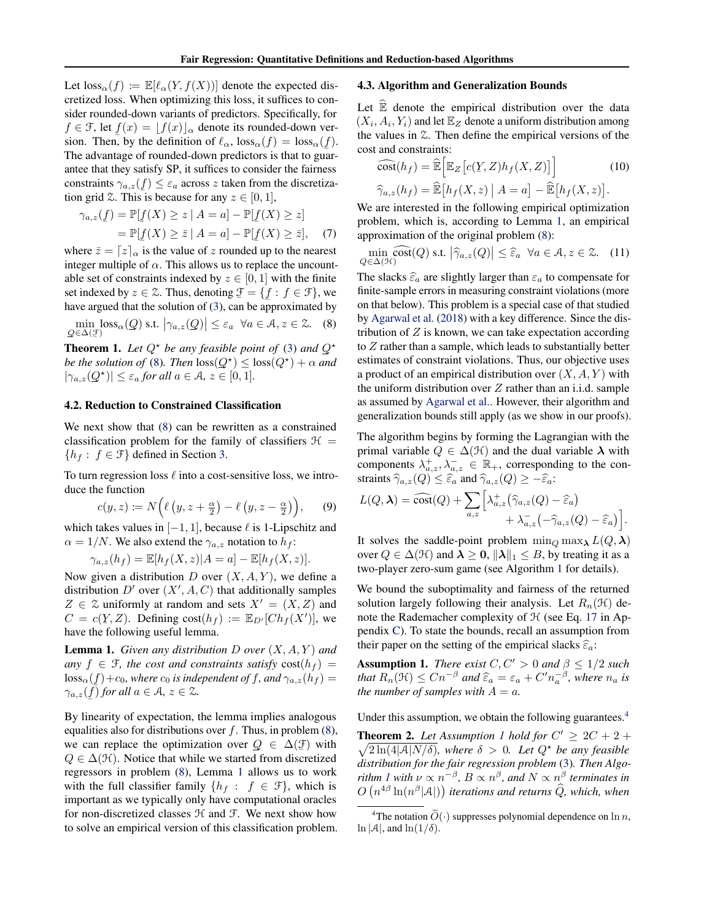<span id="page-4-0"></span>Let  $loss_{\alpha}(f) := \mathbb{E}[\ell_{\alpha}(Y, f(X))]$  denote the expected discretized loss. When optimizing this loss, it suffices to consider rounded-down variants of predictors. Specifically, for  $f \in \mathcal{F}$ , let  $f(x) = \lfloor f(x) \rfloor_\alpha$  denote its rounded-down version. Then, by the definition of  $\ell_{\alpha}$ ,  $\text{loss}_{\alpha}(f) = \text{loss}_{\alpha}(f)$ . The advantage of rounded-down predictors is that to guarantee that they satisfy SP, it suffices to consider the fairness constraints  $\gamma_{a,z}(f) \leq \varepsilon_a$  across z taken from the discretization grid  $\mathcal{Z}$ . This is because for any  $z \in [0, 1]$ ,

$$
\gamma_{a,z}(\underline{f}) = \mathbb{P}[\underline{f}(X) \ge z \mid A = a] - \mathbb{P}[\underline{f}(X) \ge z]
$$
  
= 
$$
\mathbb{P}[\underline{f}(X) \ge \overline{z} \mid A = a] - \mathbb{P}[\underline{f}(X) \ge \overline{z}], \quad (7)
$$

where  $\bar{z} = [z]_{\alpha}$  is the value of z rounded up to the nearest integer multiple of  $\alpha$ . This allows us to replace the uncountable set of constraints indexed by  $z \in [0, 1]$  with the finite set indexed by  $z \in \mathcal{Z}$ . Thus, denoting  $\mathcal{F} = \{f : f \in \mathcal{F}\}\)$ , we have argued that the solution of [\(3\)](#page-3-0), can be approximated by have argued that the solution of (3), can be approximated by

 $\min_{\substack{\epsilon \Delta(\mathcal{F})}} \text{loss}_{\alpha}(Q) \text{ s.t. } |\gamma_{a,z}(Q)| \leq \varepsilon_a \ \ \forall a \in \mathcal{A}, z \in \mathcal{Z}.$  (8)  $Q ∈ \Delta(\mathcal{F})$ 

**Theorem 1.** Let  $Q^*$  be any feasible point of [\(3\)](#page-3-0) and  $Q^*$ *be the solution of* (8). Then  $loss(Q^{\star}) \leq loss(Q^{\star}) + \alpha$  and  $|\gamma_{a,z}(Q^{\star})| \leq \varepsilon_a$  for all  $a \in \mathcal{A}, z \in [0,1].$ 

#### 4.2. Reduction to Constrained Classification

We next show that  $(8)$  can be rewritten as a constrained classification problem for the family of classifiers  $H =$  ${h<sub>f</sub> : f \in \mathcal{F}}$  defined in Section [3.](#page-3-0)

To turn regression loss  $\ell$  into a cost-sensitive loss, we introduce the function

$$
c(y, z) \coloneqq N\Big(\ell\left(y, z + \frac{\alpha}{2}\right) - \ell\left(y, z - \frac{\alpha}{2}\right)\Big),\qquad(9)
$$

which takes values in  $[-1, 1]$ , because  $\ell$  is 1-Lipschitz and  $\alpha = 1/N$ . We also extend the  $\gamma_{a,z}$  notation to  $h_f$ :

$$
\gamma_{a,z}(h_f) = \mathbb{E}[h_f(X,z)|A=a] - \mathbb{E}[h_f(X,z)].
$$

Now given a distribution  $D$  over  $(X, A, Y)$ , we define a distribution  $D'$  over  $(X', A, C)$  that additionally samples  $Z \in \mathcal{Z}$  uniformly at random and sets  $X' = (X, Z)$  and  $C = c(Y, Z)$ . Defining  $cost(h_f) := \mathbb{E}_{D'}[Ch_f(X')]$ , we have the following useful lemma.

**Lemma 1.** *Given any distribution*  $D$  *over*  $(X, A, Y)$  *and any*  $f \in \mathcal{F}$ *, the cost and constraints satisfy*  $cost(h_f)$  =  $\text{loss}_{\alpha}(f) + c_0$ *, where*  $c_0$  *is independent of* f*, and*  $\gamma_{a,z}(h_f) =$  $\gamma_{a,z}(f)$  *for all*  $a \in \mathcal{A}, z \in \mathcal{Z}$ .  $\ddot{}$ 

By linearity of expectation, the lemma implies analogous equalities also for distributions over  $f$ . Thus, in problem  $(8)$ , we can replace the optimization over  $Q \in \Delta(\mathcal{F})$  with  $Q \in \Delta(\mathcal{H})$ . Notice that while we started from discretized regressors in problem (8), Lemma 1 allows us to work with the full classifier family  $\{h_f : f \in \mathcal{F}\}\$ , which is important as we typically only have computational oracles for non-discretized classes  $H$  and  $F$ . We next show how to solve an empirical version of this classification problem.

#### 4.3. Algorithm and Generalization Bounds

Let  $E$  denote the empirical distribution over the data  $(X_i, A_i, Y_i)$  and let  $\mathbb{E}_Z$  denote a uniform distribution among the values in Z. Then define the empirical versions of the cost and constraints:

$$
\widehat{\cos t}(h_f) = \widehat{\mathbb{E}} \Big[ \mathbb{E}_Z \big[ c(Y, Z) h_f(X, Z) \big] \Big] \tag{10}
$$

$$
\widehat{\gamma}_{a,z}(h_f) = \widehat{\mathbb{E}} \big[ h_f(X, z) \mid A = a \big] - \widehat{\mathbb{E}} \big[ h_f(X, z) \big].
$$

We are interested in the following empirical optimization problem, which is, according to Lemma 1, an empirical approximation of the original problem (8):

$$
\min_{Q \in \Delta(\mathcal{H})} \widehat{\text{cost}}(Q) \text{ s.t. } |\widehat{\gamma}_{a,z}(Q)| \le \widehat{\varepsilon}_a \ \forall a \in \mathcal{A}, z \in \mathcal{Z}. \tag{11}
$$

The slacks  $\hat{\varepsilon}_a$  are slightly larger than  $\varepsilon_a$  to compensate for finite-sample errors in measuring constraint violations (more on that below). This problem is a special case of that studied by [Agarwal et al.](#page-8-0) [\(2018\)](#page-8-0) with a key difference. Since the distribution of  $Z$  is known, we can take expectation according to  $Z$  rather than a sample, which leads to substantially better estimates of constraint violations. Thus, our objective uses a product of an empirical distribution over  $(X, A, Y)$  with the uniform distribution over  $Z$  rather than an i.i.d. sample as assumed by [Agarwal et al..](#page-8-0) However, their algorithm and generalization bounds still apply (as we show in our proofs).

The algorithm begins by forming the Lagrangian with the primal variable  $Q \in \Delta(\mathcal{H})$  and the dual variable  $\lambda$  with components  $\lambda_{a,z}^+$ ,  $\lambda_{a,z}^ \in \mathbb{R}_+$ , corresponding to the constraints  $\widehat{\gamma}_{a,z}(Q) \leq \widehat{\varepsilon}_a$  and  $\widehat{\gamma}_{a,z}(Q) \geq -\widehat{\varepsilon}_a$ :

$$
L(Q, \lambda) = \widehat{\text{cost}}(Q) + \sum_{a,z} \Big[ \lambda_{a,z}^+ (\widehat{\gamma}_{a,z}(Q) - \widehat{\varepsilon}_a) + \lambda_{a,z}^- (-\widehat{\gamma}_{a,z}(Q) - \widehat{\varepsilon}_a) \Big].
$$

It solves the saddle-point problem  $\min_Q \max_{\lambda} L(Q, \lambda)$ over  $Q \in \Delta(\mathcal{H})$  and  $\lambda \geq 0$ ,  $\|\lambda\|_1 \leq B$ , by treating it as a two-player zero-sum game (see Algorithm [1](#page-5-0) for details).

We bound the suboptimality and fairness of the returned solution largely following their analysis. Let  $R_n(\mathcal{H})$  denote the Rademacher complexity of  $H$  (see Eq. [17](#page-10-0) in Appendix [C\)](#page-10-0). To state the bounds, recall an assumption from their paper on the setting of the empirical slacks  $\hat{\epsilon}_a$ :

**Assumption 1.** *There exist*  $C, C' > 0$  *and*  $\beta \leq 1/2$  *such that*  $R_n(\mathcal{H}) \leq Cn^{-\beta}$  *and*  $\hat{\epsilon}_a = \epsilon_a + C'n_a^{-\beta}$ , where  $n_a$  *is* the number of samples with  $\Lambda = a$ *the number of samples with*  $A = a$ *.* 

Under this assumption, we obtain the following guarantees.<sup>4</sup>

**Theorem 2.** Let Assumption 1 hold for  $C' \geq 2C + 2 +$  $\sqrt{2 \ln(4|\mathcal{A}|N/\delta)}$ , where  $\delta > 0$ . Let  $Q^*$  be any feasible *distribution for the fair regression problem* [\(3\)](#page-3-0)*. Then Algo-rithm [1](#page-5-0) with*  $\nu \propto n^{-\beta}$ ,  $B \propto n^{\beta}$ , and  $N \propto n^{\beta}$  terminates in  $O\left(n^{4\beta}\ln(n^{\beta}|\mathcal{A}|)\right)$  iterations and returns  $\widehat{Q}$ *, which, when* 

<sup>&</sup>lt;sup>4</sup>The notation  $\widetilde{O}(\cdot)$  suppresses polynomial dependence on ln n,  $\ln |\mathcal{A}|$ , and  $\ln (1/\delta)$ .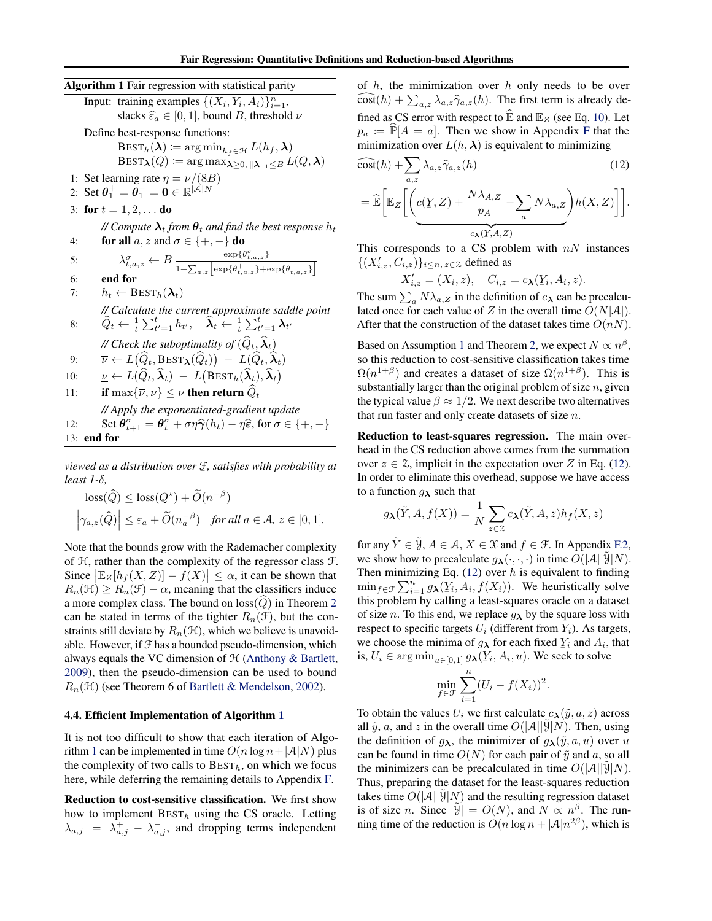<span id="page-5-0"></span>Algorithm 1 Fair regression with statistical parity Input: training examples  $\{(X_i, Y_i, A_i)\}_{i=1}^n$ , slacks  $\widehat{\varepsilon}_a \in [0, 1]$ , bound B, threshold  $\nu$ Define best-response functions:  $\text{BEST}_h(\lambda) \coloneqq \argmin_{h_f \in \mathcal{H}} L(h_f, \lambda)$  $\text{BEST}_{\boldsymbol{\lambda}}(Q) := \arg \max_{\boldsymbol{\lambda} > 0, \|\boldsymbol{\lambda}\|_1 \leq B} L(Q, \boldsymbol{\lambda})$ 1: Set learning rate  $\eta = \nu/(8B)$ 2: Set  $\theta_1^+ = \theta_1^- = 0 \in \mathbb{R}^{|\mathcal{A}|N}$ 3: for  $t = 1, 2, ...$  do *// Compute*  $\lambda_t$  *from*  $\theta_t$  *and find the best response*  $h_t$ 4: **for all**  $a, z$  and  $\sigma \in \{+, -\}$  **do** 5:  $\lambda_{t,a,z}^{\sigma} \leftarrow B \frac{\exp{\{\theta_{t,a,z}^{\sigma}\}}}{\lim_{t \to \infty} \left[\lim_{s \to t} (a_{t,a,z}^{\sigma})\right]}$  $1+\sum_{a,z}\left[\exp\{\theta_{t,a,z}^+\}+\exp\{\theta_{t,a,z}^-\}\right]$  $6:$  end for  $6:$ 7:  $h_t \leftarrow \text{BEST}_h(\lambda_t)$ *// Calculate the current approximate saddle point* 8:  $\widehat{Q}_t \leftarrow \frac{1}{t} \sum_{t'=1}^t h_{t'}, \quad \widehat{\lambda}_t \leftarrow \frac{1}{t} \sum_{t'=1}^t \lambda_{t'}$ *// Check the suboptimality of*  $(\widehat{Q}_t, \widehat{\lambda}_t)$ 9:  $\overline{\nu} \leftarrow L(\hat{Q}_t, \text{BEST}_{\boldsymbol{\lambda}}(\hat{Q}_t)) - L(\hat{Q}_t, \hat{\lambda}_t)$ 10:  $u \leftarrow L(\hat{Q}_t, \hat{\lambda}_t) - L(BEST_h(\hat{\lambda}_t), \hat{\lambda}_t)$ 11: **if** max $\{\overline{\nu}, \nu\} \leq \nu$  then return  $\widehat{Q}_t$ *// Apply the exponentiated-gradient update* 12: Set  $\theta_{t+1}^{\sigma} = \theta_t^{\sigma} + \sigma \eta \hat{\gamma}(h_t) - \eta \hat{\epsilon}$ , for  $\sigma \in \{+, -\}$ 13: end for

*viewed as a distribution over* ¯ F*, satisfies with probability at least 1-*δ*,*

$$
loss(\widehat{Q}) \leq loss(Q^*) + \widetilde{O}(n^{-\beta})
$$
  

$$
\left|\gamma_{a,z}(\widehat{Q})\right| \leq \varepsilon_a + \widetilde{O}(n_a^{-\beta}) \quad \text{for all } a \in \mathcal{A}, z \in [0,1].
$$

Note that the bounds grow with the Rademacher complexity of  $H$ , rather than the complexity of the regressor class  $F$ . Since  $\left| \mathbb{E}_Z[h_f(X,Z)] - f(X) \right| \leq \alpha$ , it can be shown that  $R_n(\mathcal{H}) \geq R_n(\mathcal{F}) - \alpha$ , meaning that the classifiers induce a more complex class. The bound on  $loss(Q)$  in Theorem [2](#page-4-0) can be stated in terms of the tighter  $R_n(\mathcal{F})$ , but the constraints still deviate by  $R_n(\mathcal{H})$ , which we believe is unavoidable. However, if  $\mathcal F$  has a bounded pseudo-dimension, which always equals the VC dimension of  $H$  [\(Anthony & Bartlett,](#page-8-0) [2009\)](#page-8-0), then the pseudo-dimension can be used to bound  $R_n(\mathcal{H})$  (see Theorem 6 of [Bartlett & Mendelson,](#page-8-0) [2002\)](#page-8-0).

#### 4.4. Efficient Implementation of Algorithm 1

It is not too difficult to show that each iteration of Algorithm 1 can be implemented in time  $O(n \log n + |A|N)$  plus the complexity of two calls to  $\text{BEST}_h$ , on which we focus here, while deferring the remaining details to Appendix [F.](#page-14-0)

Reduction to cost-sensitive classification. We first show how to implement  $\text{BEST}_h$  using the CS oracle. Letting  $\lambda_{a,j}$  =  $\lambda_{a,j}^+$  -  $\lambda_{a,j}^-$ , and dropping terms independent of  $h$ , the minimization over  $h$  only needs to be over  $\cos\left(h\right) + \sum_{a,z} \lambda_{a,z} \hat{\gamma}_{a,z}(h)$ . The first term is already defined as CS error with respect to  $\widehat{\mathbb{E}}$  and  $\mathbb{E}_Z$  (see Eq. [10\)](#page-4-0). Let  $p_a := \mathbb{P}[A = a]$ . Then we show in Appendix [F](#page-14-0) that the minimization over  $L(h, \lambda)$  is equivalent to minimizing

$$
\widehat{\text{cost}}(h) + \sum_{a,z} \lambda_{a,z} \widehat{\gamma}_{a,z}(h) \tag{12}
$$

$$
= \widehat{\mathbb{E}}\bigg[\mathbb{E}_Z\bigg[\bigg(\underbrace{c(Y,Z)+\frac{N\lambda_{A,Z}}{p_A}-\sum_a N\lambda_{a,Z}}_{c_{\lambda}(Y,A,Z)}\bigg)h(X,Z)\bigg]\bigg].
$$

This corresponds to a CS problem with  $nN$  instances  $\{(X'_{i,z}, C_{i,z})\}_{i\leq n, z\in\mathcal{Z}}$  defined as

$$
X'_{i,z} = (X_i, z), \quad C_{i,z} = c_{\lambda}(Y_i, A_i, z).
$$

The sum  $\sum_a N\lambda_{a,Z}$  in the definition of  $c_{\lambda}$  can be precalculated once for each value of Z in the overall time  $O(N|\mathcal{A}|)$ . After that the construction of the dataset takes time  $O(nN)$ .

Based on Assumption [1](#page-4-0) and Theorem [2,](#page-4-0) we expect  $N \propto n^{\beta}$ , so this reduction to cost-sensitive classification takes time  $\Omega(n^{1+\beta})$  and creates a dataset of size  $\Omega(n^{1+\beta})$ . This is substantially larger than the original problem of size  $n$ , given the typical value  $\beta \approx 1/2$ . We next describe two alternatives that run faster and only create datasets of size  $n$ .

Reduction to least-squares regression. The main overhead in the CS reduction above comes from the summation over  $z \in \mathcal{Z}$ , implicit in the expectation over Z in Eq. (12). In order to eliminate this overhead, suppose we have access to a function  $g_{\lambda}$  such that

$$
g_{\lambda}(\tilde{Y}, A, f(X)) = \frac{1}{N} \sum_{z \in \mathcal{Z}} c_{\lambda}(\tilde{Y}, A, z) h_f(X, z)
$$

for any  $\tilde{Y} \in \tilde{Y}$ ,  $A \in \mathcal{A}$ ,  $X \in \mathcal{X}$  and  $f \in \mathcal{F}$ . In Appendix [F.2,](#page-15-0) we show how to precalculate  $g_{\lambda}(\cdot, \cdot, \cdot)$  in time  $O(|\mathcal{A}||\mathcal{Y}|N)$ . Then minimizing Eq.  $(12)$  over h is equivalent to finding  $\min_{f \in \mathcal{F}} \sum_{i=1}^{n} g_{\lambda}(Y_i, A_i, f(X_i)).$  We heuristically solve this problem by calling a least-squares oracle on a dataset of size *n*. To this end, we replace  $g_{\lambda}$  by the square loss with respect to specific targets  $U_i$  (different from  $Y_i$ ). As targets, we choose the minima of  $g_{\lambda}$  for each fixed  $Y_i$  and  $A_i$ , that is,  $U_i \in \arg \min_{u \in [0,1]} g_{\lambda}(Y_i, A_i, u)$ . We seek to solve

$$
\min_{f \in \mathcal{F}} \sum_{i=1}^{n} (U_i - f(X_i))^2.
$$

To obtain the values  $U_i$  we first calculate  $c_{\lambda}(\tilde{y}, a, z)$  across all  $\tilde{y}$ , a, and z in the overall time  $O(|A||\mathcal{Y}|N)$ . Then, using the definition of  $g_{\lambda}$ , the minimizer of  $g_{\lambda}(\tilde{y}, a, u)$  over u can be found in time  $O(N)$  for each pair of  $\tilde{y}$  and a, so all the minimizers can be precalculated in time  $O(|\mathcal{A}||\hat{\mathcal{Y}}|N)$ . Thus, preparing the dataset for the least-squares reduction takes time  $O(|A||\hat{y}|N)$  and the resulting regression dataset is of size *n*. Since  $|\tilde{y}| = O(N)$ , and  $N \propto n^{\beta}$ . The running time of the reduction is  $O(n \log n + |\mathcal{A}|n^{2\beta})$ , which is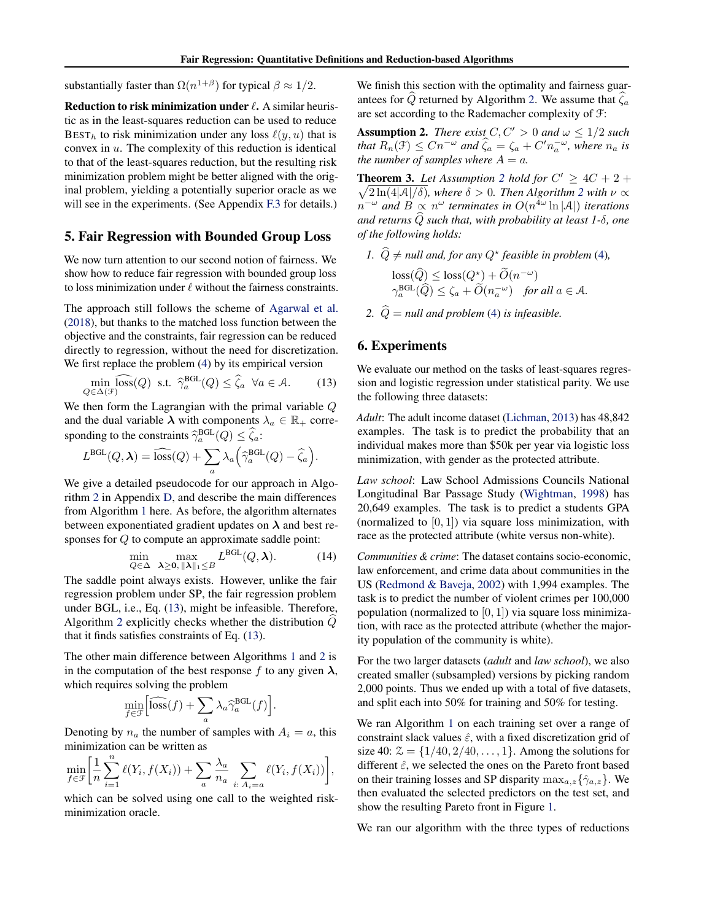<span id="page-6-0"></span>substantially faster than  $\Omega(n^{1+\beta})$  for typical  $\beta \approx 1/2$ .

Reduction to risk minimization under  $\ell$ . A similar heuristic as in the least-squares reduction can be used to reduce BEST<sub>h</sub> to risk minimization under any loss  $\ell(y, u)$  that is convex in  $u$ . The complexity of this reduction is identical to that of the least-squares reduction, but the resulting risk minimization problem might be better aligned with the original problem, yielding a potentially superior oracle as we will see in the experiments. (See Appendix [F.3](#page-16-0) for details.)

### 5. Fair Regression with Bounded Group Loss

We now turn attention to our second notion of fairness. We show how to reduce fair regression with bounded group loss to loss minimization under  $\ell$  without the fairness constraints.

The approach still follows the scheme of [Agarwal et al.](#page-8-0) [\(2018\)](#page-8-0), but thanks to the matched loss function between the objective and the constraints, fair regression can be reduced directly to regression, without the need for discretization. We first replace the problem [\(4\)](#page-3-0) by its empirical version

$$
\min_{Q \in \Delta(\mathcal{F})} \widehat{\text{loss}}(Q) \text{ s.t. } \widehat{\gamma}_a^{\text{BGL}}(Q) \le \widehat{\zeta}_a \ \forall a \in \mathcal{A}.\tag{13}
$$

We then form the Lagrangian with the primal variable Q and the dual variable  $\lambda$  with components  $\lambda_a \in \mathbb{R}_+$  corresponding to the constraints  $\widehat{\gamma}_a^{\text{BGL}}(Q) \leq \widehat{\zeta}_a$ :

$$
L^{\text{BGL}}(Q,\boldsymbol{\lambda}) = \widehat{\text{loss}}(Q) + \sum_{a} \lambda_a \left( \widehat{\gamma}_a^{\text{BGL}}(Q) - \widehat{\zeta}_a \right).
$$

We give a detailed pseudocode for our approach in Algorithm [2](#page-13-0) in Appendix [D,](#page-12-0) and describe the main differences from Algorithm [1](#page-5-0) here. As before, the algorithm alternates between exponentiated gradient updates on  $\lambda$  and best responses for Q to compute an approximate saddle point:

$$
\min_{Q \in \Delta} \max_{\lambda \ge 0, \, \|\lambda\|_1 \le B} L^{\text{BGL}}(Q, \lambda). \tag{14}
$$

The saddle point always exists. However, unlike the fair regression problem under SP, the fair regression problem under BGL, i.e., Eq. (13), might be infeasible. Therefore, Algorithm [2](#page-13-0) explicitly checks whether the distribution <sup>Q</sup><sup>b</sup> that it finds satisfies constraints of Eq. (13).

The other main difference between Algorithms [1](#page-5-0) and [2](#page-13-0) is in the computation of the best response f to any given  $\lambda$ , which requires solving the problem

$$
\min_{f \in \mathcal{F}} \left[ \widehat{\text{loss}}(f) + \sum_{a} \lambda_a \widehat{\gamma}_a^{\text{BGL}}(f) \right].
$$

Denoting by  $n_a$  the number of samples with  $A_i = a$ , this minimization can be written as

$$
\min_{f \in \mathcal{F}} \left[ \frac{1}{n} \sum_{i=1}^{n} \ell(Y_i, f(X_i)) + \sum_{a} \frac{\lambda_a}{n_a} \sum_{i: A_i = a} \ell(Y_i, f(X_i)) \right],
$$

which can be solved using one call to the weighted riskminimization oracle.

We finish this section with the optimality and fairness guar-antees for Q returned by Algorithm [2.](#page-13-0) We assume that  $\zeta_a$ are set according to the Rademacher complexity of F:

**Assumption 2.** *There exist*  $C, C' > 0$  *and*  $\omega \leq 1/2$  *such that*  $R_n(\mathcal{F}) \leq Cn^{-\omega}$  and  $\widehat{\zeta}_a = \zeta_a + C'n_a^{-\omega}$ , where  $n_a$  is *the number of samples where*  $A = a$ *.* 

**Theorem 3.** Let Assumption 2 hold for  $C' \geq 4C + 2 +$  $\sqrt{2\ln(4|\mathcal{A}|/\delta)}$  $\sqrt{2\ln(4|\mathcal{A}|/\delta)}$  $\sqrt{2\ln(4|\mathcal{A}|/\delta)}$ , where  $\delta > 0$ . Then Algorithm 2 with  $\nu \propto$  $n^{-\omega}$  and  $B \propto n^{\omega}$  terminates in  $O(n^{4\omega} \ln |\mathcal{A}|)$  iterations *and returns*  $\ddot{Q}$  *such that, with probability at least 1-* $\delta$ *, one of the following holds:*

*1.*  $\hat{Q} \neq \textit{null}$  and, for any  $Q^*$  feasible in problem [\(4\)](#page-3-0),

$$
\begin{aligned} \text{loss}(\widehat{Q}) &\leq \text{loss}(Q^\star) + \widetilde{O}(n^{-\omega})\\ \gamma_a^{\text{BGL}}(\widehat{Q}) &\leq \zeta_a + \widetilde{O}(n_a^{-\omega}) \quad \text{for all } a \in \mathcal{A}. \end{aligned}
$$

2.  $\hat{Q} = \textit{null}$  and problem [\(4\)](#page-3-0) is infeasible.

#### 6. Experiments

We evaluate our method on the tasks of least-squares regression and logistic regression under statistical parity. We use the following three datasets:

*Adult*: The adult income dataset [\(Lichman,](#page-8-0) [2013\)](#page-8-0) has 48,842 examples. The task is to predict the probability that an individual makes more than \$50k per year via logistic loss minimization, with gender as the protected attribute.

*Law school*: Law School Admissions Councils National Longitudinal Bar Passage Study [\(Wightman,](#page-9-0) [1998\)](#page-9-0) has 20,649 examples. The task is to predict a students GPA (normalized to  $[0, 1]$ ) via square loss minimization, with race as the protected attribute (white versus non-white).

*Communities & crime*: The dataset contains socio-economic, law enforcement, and crime data about communities in the US [\(Redmond & Baveja,](#page-9-0) [2002\)](#page-9-0) with 1,994 examples. The task is to predict the number of violent crimes per 100,000 population (normalized to  $[0, 1]$ ) via square loss minimization, with race as the protected attribute (whether the majority population of the community is white).

For the two larger datasets (*adult* and *law school*), we also created smaller (subsampled) versions by picking random 2,000 points. Thus we ended up with a total of five datasets, and split each into 50% for training and 50% for testing.

We ran Algorithm [1](#page-5-0) on each training set over a range of constraint slack values  $\hat{\epsilon}$ , with a fixed discretization grid of size 40:  $\mathcal{Z} = \{1/40, 2/40, ..., 1\}$ . Among the solutions for different  $\hat{\varepsilon}$ , we selected the ones on the Pareto front based on their training losses and SP disparity  $\max_{a,z} {\{\hat{\gamma}_{a,z}\}}$ . We then evaluated the selected predictors on the test set, and show the resulting Pareto front in Figure [1.](#page-7-0)

We ran our algorithm with the three types of reductions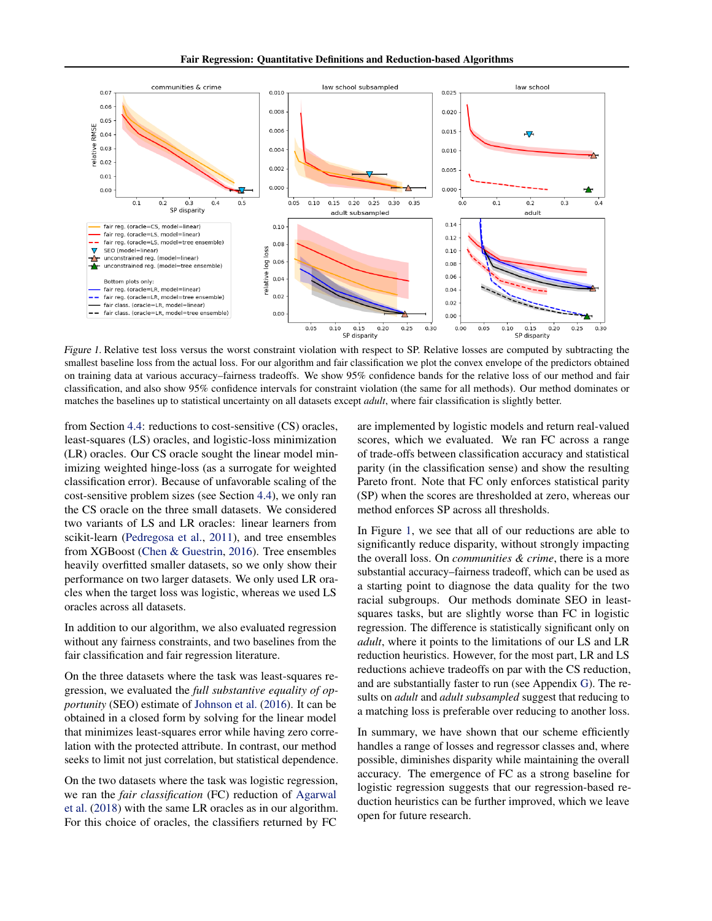<span id="page-7-0"></span>

Figure 1. Relative test loss versus the worst constraint violation with respect to SP. Relative losses are computed by subtracting the smallest baseline loss from the actual loss. For our algorithm and fair classification we plot the convex envelope of the predictors obtained on training data at various accuracy–fairness tradeoffs. We show 95% confidence bands for the relative loss of our method and fair classification, and also show 95% confidence intervals for constraint violation (the same for all methods). Our method dominates or matches the baselines up to statistical uncertainty on all datasets except *adult*, where fair classification is slightly better.

from Section [4.4:](#page-5-0) reductions to cost-sensitive (CS) oracles, least-squares (LS) oracles, and logistic-loss minimization (LR) oracles. Our CS oracle sought the linear model minimizing weighted hinge-loss (as a surrogate for weighted classification error). Because of unfavorable scaling of the cost-sensitive problem sizes (see Section [4.4\)](#page-5-0), we only ran the CS oracle on the three small datasets. We considered two variants of LS and LR oracles: linear learners from scikit-learn [\(Pedregosa et al.,](#page-9-0) [2011\)](#page-9-0), and tree ensembles from XGBoost [\(Chen & Guestrin,](#page-8-0) [2016\)](#page-8-0). Tree ensembles heavily overfitted smaller datasets, so we only show their performance on two larger datasets. We only used LR oracles when the target loss was logistic, whereas we used LS oracles across all datasets.

In addition to our algorithm, we also evaluated regression without any fairness constraints, and two baselines from the fair classification and fair regression literature.

On the three datasets where the task was least-squares regression, we evaluated the *full substantive equality of opportunity* (SEO) estimate of [Johnson et al.](#page-8-0) [\(2016\)](#page-8-0). It can be obtained in a closed form by solving for the linear model that minimizes least-squares error while having zero correlation with the protected attribute. In contrast, our method seeks to limit not just correlation, but statistical dependence.

On the two datasets where the task was logistic regression, we ran the *fair classification* (FC) reduction of [Agarwal](#page-8-0) [et al.](#page-8-0) [\(2018\)](#page-8-0) with the same LR oracles as in our algorithm. For this choice of oracles, the classifiers returned by FC

are implemented by logistic models and return real-valued scores, which we evaluated. We ran FC across a range of trade-offs between classification accuracy and statistical parity (in the classification sense) and show the resulting Pareto front. Note that FC only enforces statistical parity (SP) when the scores are thresholded at zero, whereas our method enforces SP across all thresholds.

In Figure 1, we see that all of our reductions are able to significantly reduce disparity, without strongly impacting the overall loss. On *communities & crime*, there is a more substantial accuracy–fairness tradeoff, which can be used as a starting point to diagnose the data quality for the two racial subgroups. Our methods dominate SEO in leastsquares tasks, but are slightly worse than FC in logistic regression. The difference is statistically significant only on *adult*, where it points to the limitations of our LS and LR reduction heuristics. However, for the most part, LR and LS reductions achieve tradeoffs on par with the CS reduction, and are substantially faster to run (see Appendix [G\)](#page-16-0). The results on *adult* and *adult subsampled* suggest that reducing to a matching loss is preferable over reducing to another loss.

In summary, we have shown that our scheme efficiently handles a range of losses and regressor classes and, where possible, diminishes disparity while maintaining the overall accuracy. The emergence of FC as a strong baseline for logistic regression suggests that our regression-based reduction heuristics can be further improved, which we leave open for future research.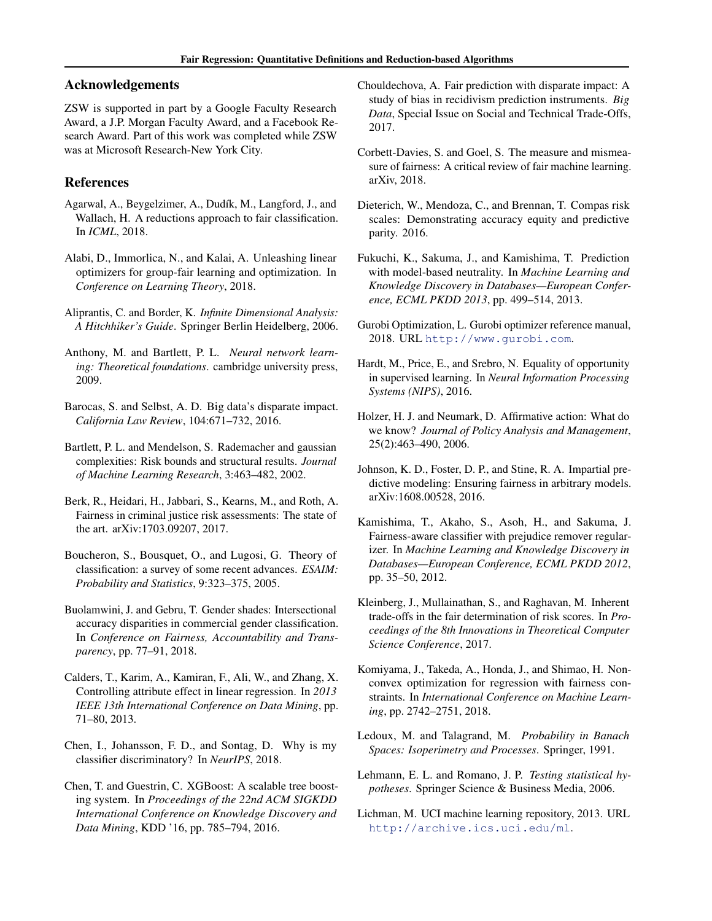### <span id="page-8-0"></span>Acknowledgements

ZSW is supported in part by a Google Faculty Research Award, a J.P. Morgan Faculty Award, and a Facebook Research Award. Part of this work was completed while ZSW was at Microsoft Research-New York City.

# References

- Agarwal, A., Beygelzimer, A., Dudík, M., Langford, J., and Wallach, H. A reductions approach to fair classification. In *ICML*, 2018.
- Alabi, D., Immorlica, N., and Kalai, A. Unleashing linear optimizers for group-fair learning and optimization. In *Conference on Learning Theory*, 2018.
- Aliprantis, C. and Border, K. *Infinite Dimensional Analysis: A Hitchhiker's Guide*. Springer Berlin Heidelberg, 2006.
- Anthony, M. and Bartlett, P. L. *Neural network learning: Theoretical foundations*. cambridge university press, 2009.
- Barocas, S. and Selbst, A. D. Big data's disparate impact. *California Law Review*, 104:671–732, 2016.
- Bartlett, P. L. and Mendelson, S. Rademacher and gaussian complexities: Risk bounds and structural results. *Journal of Machine Learning Research*, 3:463–482, 2002.
- Berk, R., Heidari, H., Jabbari, S., Kearns, M., and Roth, A. Fairness in criminal justice risk assessments: The state of the art. arXiv:1703.09207, 2017.
- Boucheron, S., Bousquet, O., and Lugosi, G. Theory of classification: a survey of some recent advances. *ESAIM: Probability and Statistics*, 9:323–375, 2005.
- Buolamwini, J. and Gebru, T. Gender shades: Intersectional accuracy disparities in commercial gender classification. In *Conference on Fairness, Accountability and Transparency*, pp. 77–91, 2018.
- Calders, T., Karim, A., Kamiran, F., Ali, W., and Zhang, X. Controlling attribute effect in linear regression. In *2013 IEEE 13th International Conference on Data Mining*, pp. 71–80, 2013.
- Chen, I., Johansson, F. D., and Sontag, D. Why is my classifier discriminatory? In *NeurIPS*, 2018.
- Chen, T. and Guestrin, C. XGBoost: A scalable tree boosting system. In *Proceedings of the 22nd ACM SIGKDD International Conference on Knowledge Discovery and Data Mining*, KDD '16, pp. 785–794, 2016.
- Chouldechova, A. Fair prediction with disparate impact: A study of bias in recidivism prediction instruments. *Big Data*, Special Issue on Social and Technical Trade-Offs, 2017.
- Corbett-Davies, S. and Goel, S. The measure and mismeasure of fairness: A critical review of fair machine learning. arXiv, 2018.
- Dieterich, W., Mendoza, C., and Brennan, T. Compas risk scales: Demonstrating accuracy equity and predictive parity. 2016.
- Fukuchi, K., Sakuma, J., and Kamishima, T. Prediction with model-based neutrality. In *Machine Learning and Knowledge Discovery in Databases—European Conference, ECML PKDD 2013*, pp. 499–514, 2013.
- Gurobi Optimization, L. Gurobi optimizer reference manual, 2018. URL <http://www.gurobi.com>.
- Hardt, M., Price, E., and Srebro, N. Equality of opportunity in supervised learning. In *Neural Information Processing Systems (NIPS)*, 2016.
- Holzer, H. J. and Neumark, D. Affirmative action: What do we know? *Journal of Policy Analysis and Management*, 25(2):463–490, 2006.
- Johnson, K. D., Foster, D. P., and Stine, R. A. Impartial predictive modeling: Ensuring fairness in arbitrary models. arXiv:1608.00528, 2016.
- Kamishima, T., Akaho, S., Asoh, H., and Sakuma, J. Fairness-aware classifier with prejudice remover regularizer. In *Machine Learning and Knowledge Discovery in Databases—European Conference, ECML PKDD 2012*, pp. 35–50, 2012.
- Kleinberg, J., Mullainathan, S., and Raghavan, M. Inherent trade-offs in the fair determination of risk scores. In *Proceedings of the 8th Innovations in Theoretical Computer Science Conference*, 2017.
- Komiyama, J., Takeda, A., Honda, J., and Shimao, H. Nonconvex optimization for regression with fairness constraints. In *International Conference on Machine Learning*, pp. 2742–2751, 2018.
- Ledoux, M. and Talagrand, M. *Probability in Banach Spaces: Isoperimetry and Processes*. Springer, 1991.
- Lehmann, E. L. and Romano, J. P. *Testing statistical hypotheses*. Springer Science & Business Media, 2006.
- Lichman, M. UCI machine learning repository, 2013. URL <http://archive.ics.uci.edu/ml>.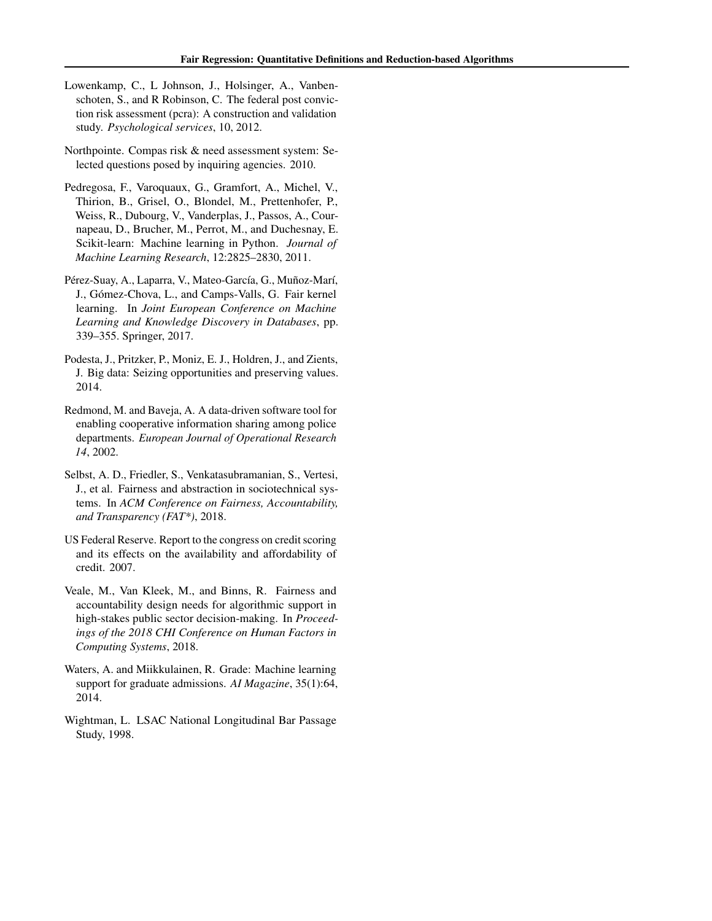- <span id="page-9-0"></span>Lowenkamp, C., L Johnson, J., Holsinger, A., Vanbenschoten, S., and R Robinson, C. The federal post conviction risk assessment (pcra): A construction and validation study. *Psychological services*, 10, 2012.
- Northpointe. Compas risk & need assessment system: Selected questions posed by inquiring agencies. 2010.
- Pedregosa, F., Varoquaux, G., Gramfort, A., Michel, V., Thirion, B., Grisel, O., Blondel, M., Prettenhofer, P., Weiss, R., Dubourg, V., Vanderplas, J., Passos, A., Cournapeau, D., Brucher, M., Perrot, M., and Duchesnay, E. Scikit-learn: Machine learning in Python. *Journal of Machine Learning Research*, 12:2825–2830, 2011.
- Pérez-Suay, A., Laparra, V., Mateo-García, G., Muñoz-Marí, J., Gómez-Chova, L., and Camps-Valls, G. Fair kernel learning. In *Joint European Conference on Machine Learning and Knowledge Discovery in Databases*, pp. 339–355. Springer, 2017.
- Podesta, J., Pritzker, P., Moniz, E. J., Holdren, J., and Zients, J. Big data: Seizing opportunities and preserving values. 2014.
- Redmond, M. and Baveja, A. A data-driven software tool for enabling cooperative information sharing among police departments. *European Journal of Operational Research 14*, 2002.
- Selbst, A. D., Friedler, S., Venkatasubramanian, S., Vertesi, J., et al. Fairness and abstraction in sociotechnical systems. In *ACM Conference on Fairness, Accountability, and Transparency (FAT\*)*, 2018.
- US Federal Reserve. Report to the congress on credit scoring and its effects on the availability and affordability of credit. 2007.
- Veale, M., Van Kleek, M., and Binns, R. Fairness and accountability design needs for algorithmic support in high-stakes public sector decision-making. In *Proceedings of the 2018 CHI Conference on Human Factors in Computing Systems*, 2018.
- Waters, A. and Miikkulainen, R. Grade: Machine learning support for graduate admissions. *AI Magazine*, 35(1):64, 2014.
- Wightman, L. LSAC National Longitudinal Bar Passage Study, 1998.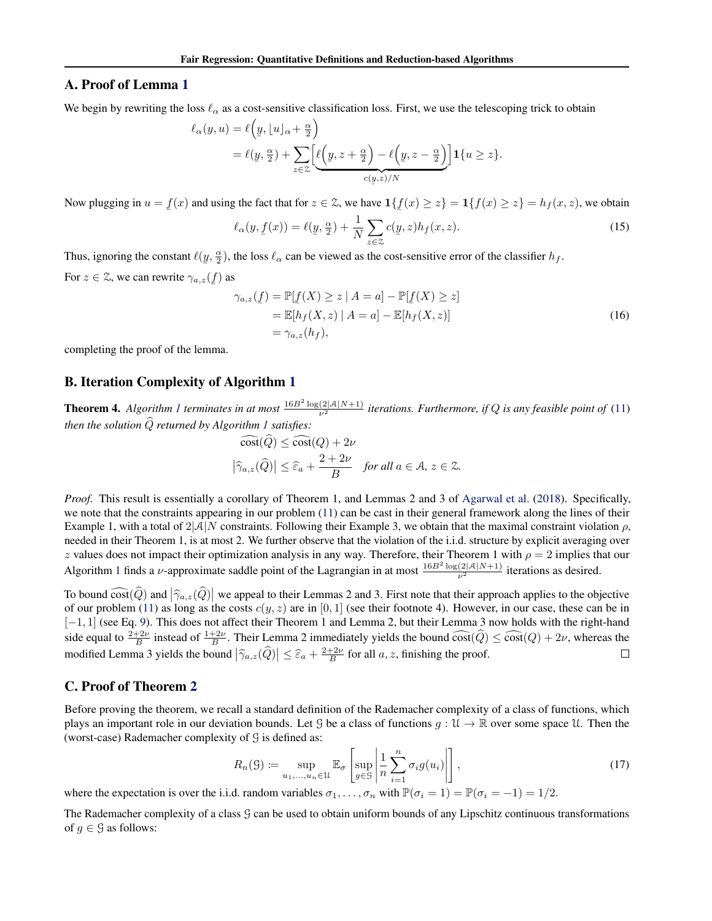# <span id="page-10-0"></span>A. Proof of Lemma [1](#page-4-0)

We begin by rewriting the loss  $\ell_\alpha$  as a cost-sensitive classification loss. First, we use the telescoping trick to obtain

$$
\ell_{\alpha}(y, u) = \ell\left(y, \lfloor u \rfloor_{\alpha} + \frac{\alpha}{2}\right)
$$
  
=  $\ell(\underline{y}, \frac{\alpha}{2}) + \sum_{z \in \mathbb{Z}} \left[\ell\left(\underline{y}, z + \frac{\alpha}{2}\right) - \ell\left(\underline{y}, z - \frac{\alpha}{2}\right)\right] \mathbf{1}\{u \ge z\}.$ 

Now plugging in  $u =$  $rac{v}{\sqrt{2}}$  $f(x)$  and using the fact that for  $z \in \mathcal{Z}$ , we have  $1\{$  $f(x) \ge z$ } = 1{ $f(x) \ge z$ } =  $h_f(x, z)$ , we obtain

$$
\ell_{\alpha}(y, \underline{f}(x)) = \ell(\underline{y}, \frac{\alpha}{2}) + \frac{1}{N} \sum_{z \in \mathcal{Z}} c(\underline{y}, z) h_f(x, z).
$$
 (15)

Thus, ignoring the constant  $\ell($  $\frac{1}{2}$  $\underline{y}, \frac{\alpha}{2}$ ), the loss  $\ell_{\alpha}$  can be viewed as the cost-sensitive error of the classifier  $h_f$ . For  $z \in \mathcal{Z}$ , we can rewrite  $\gamma_{a,z}(\underline{f})$  $f$ ) as

$$
\gamma_{a,z}(\underline{f}) = \mathbb{P}[\underline{f}(X) \ge z \mid A = a] - \mathbb{P}[\underline{f}(X) \ge z]
$$
  
=  $\mathbb{E}[h_f(X, z) \mid A = a] - \mathbb{E}[h_f(X, z)]$   
=  $\gamma_{a,z}(h_f),$  (16)

completing the proof of the lemma.

### B. Iteration Complexity of Algorithm [1](#page-5-0)

**Theorem 4.** Algorithm [1](#page-5-0) terminates in at most  $\frac{16B^2 \log(2|\mathcal{A}|N+1)}{\nu^2}$  iterations. Furthermore, if Q is any feasible point of [\(11\)](#page-4-0) *then the solution*  $\widehat{Q}$  *returned by Algorithm [1](#page-5-0) satisfies:* 

$$
\begin{aligned}\n\widehat{\text{cost}}(\widehat{Q}) &\leq \widehat{\text{cost}}(Q) + 2\nu \\
|\widehat{\gamma}_{a,z}(\widehat{Q})| &\leq \widehat{\varepsilon}_a + \frac{2 + 2\nu}{B} \quad \text{for all } a \in \mathcal{A}, \, z \in \mathcal{Z}.\n\end{aligned}
$$

*Proof.* This result is essentially a corollary of Theorem 1, and Lemmas 2 and 3 of [Agarwal et al.](#page-8-0) [\(2018\)](#page-8-0). Specifically, we note that the constraints appearing in our problem [\(11\)](#page-4-0) can be cast in their general framework along the lines of their Example 1, with a total of  $2|\mathcal{A}|N$  constraints. Following their Example 3, we obtain that the maximal constraint violation  $\rho$ , needed in their Theorem 1, is at most 2. We further observe that the violation of the i.i.d. structure by explicit averaging over z values does not impact their optimization analysis in any way. Therefore, their Theorem 1 with  $\rho = 2$  implies that our Algorithm [1](#page-5-0) finds a *ν*-approximate saddle point of the Lagrangian in at most  $\frac{16B^2 \log(2|\mathcal{A}|N+1)}{\nu^2}$  iterations as desired.

To bound  $\widehat{\cos(Q)}$  and  $|\widehat{\gamma}_{a,z}(\widehat{Q})|$  we appeal to their Lemmas 2 and 3. First note that their approach applies to the objective<br>of our problem (11) as long as the costs  $c(u, x)$  are in [0, 1] (see their footnote 4). H of our problem [\(11\)](#page-4-0) as long as the costs  $c(y, z)$  are in [0, 1] (see their footnote 4). However, in our case, these can be in [−1, 1] (see Eq. [9\)](#page-4-0). This does not affect their Theorem 1 and Lemma 2, but their Lemma 3 now holds with the right-hand side equal to  $\frac{2+2\nu}{B}$  instead of  $\frac{1+2\nu}{B}$ . Their Lemma 2 immediately yields the bound  $\widehat{\cos t}(\widehat{Q}) \le \widehat{\cos t}(Q) + 2\nu$ , whereas the modified Lemma 3 yields the bound  $|\hat{\gamma}_{a,z}(\hat{Q})| \leq \hat{\epsilon}_a + \frac{2+2\nu}{B}$  for all  $a, z$ , finishing the proof.

# C. Proof of Theorem [2](#page-4-0)

Before proving the theorem, we recall a standard definition of the Rademacher complexity of a class of functions, which plays an important role in our deviation bounds. Let G be a class of functions  $g: \mathcal{U} \to \mathbb{R}$  over some space  $\mathcal{U}$ . Then the (worst-case) Rademacher complexity of  $\mathcal G$  is defined as:

$$
R_n(\mathcal{G}) \coloneqq \sup_{u_1, \dots, u_n \in \mathcal{U}} \mathbb{E}_{\sigma} \left[ \sup_{g \in \mathcal{G}} \left| \frac{1}{n} \sum_{i=1}^n \sigma_i g(u_i) \right| \right], \tag{17}
$$

where the expectation is over the i.i.d. random variables  $\sigma_1, \ldots, \sigma_n$  with  $\mathbb{P}(\sigma_i = 1) = \mathbb{P}(\sigma_i = -1) = 1/2$ .

The Rademacher complexity of a class  $\mathcal G$  can be used to obtain uniform bounds of any Lipschitz continuous transformations of  $g \in \mathcal{G}$  as follows: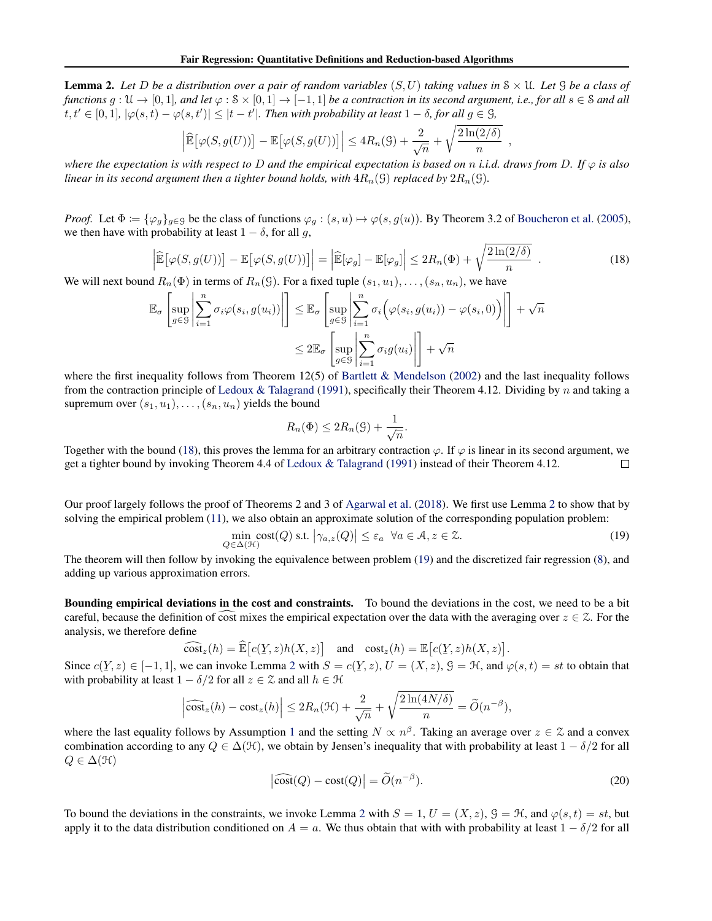<span id="page-11-0"></span>**Lemma 2.** Let D be a distribution over a pair of random variables  $(S, U)$  taking values in  $S \times U$ . Let  $G$  be a class of *functions*  $g: \mathcal{U} \to [0,1]$ *, and let*  $\varphi: \mathcal{S} \times [0,1] \to [-1,1]$  *be a contraction in its second argument, i.e., for all*  $s \in \mathcal{S}$  *and all*  $t, t' \in [0, 1]$ ,  $|\varphi(s, t) - \varphi(s, t')| \leq |t - t'|$ . Then with probability at least  $1 - \delta$ , for all  $g \in \mathcal{G}$ ,

$$
\left|\widehat{\mathbb{E}}\big[\varphi(S,g(U))\big] - \mathbb{E}\big[\varphi(S,g(U))\big]\right| \leq 4R_n(\mathfrak{H}) + \frac{2}{\sqrt{n}} + \sqrt{\frac{2\ln(2/\delta)}{n}} ,
$$

*where the expectation is with respect to* D *and the empirical expectation is based on*  $n$  *i.i.d. draws from* D. If  $\varphi$  *is also linear in its second argument then a tighter bound holds, with*  $4R_n(\mathcal{G})$  *replaced by*  $2R_n(\mathcal{G})$ *.* 

*Proof.* Let  $\Phi := {\varphi_q}_{q \in \mathcal{G}}$  be the class of functions  $\varphi_q : (s, u) \mapsto \varphi(s, g(u))$ . By Theorem 3.2 of [Boucheron et al.](#page-8-0) [\(2005\)](#page-8-0), we then have with probability at least  $1 - \delta$ , for all g,

$$
\left| \widehat{\mathbb{E}}\big[\varphi(S,g(U))\big] - \mathbb{E}\big[\varphi(S,g(U))\big] \right| = \left| \widehat{\mathbb{E}}[\varphi_g] - \mathbb{E}[\varphi_g] \right| \le 2R_n(\Phi) + \sqrt{\frac{2\ln(2/\delta)}{n}} \ . \tag{18}
$$

We will next bound  $R_n(\Phi)$  in terms of  $R_n(\mathcal{G})$ . For a fixed tuple  $(s_1, u_1), \ldots, (s_n, u_n)$ , we have

$$
\mathbb{E}_{\sigma}\left[\sup_{g\in\mathcal{G}}\left|\sum_{i=1}^{n}\sigma_{i}\varphi(s_{i},g(u_{i}))\right|\right] \leq \mathbb{E}_{\sigma}\left[\sup_{g\in\mathcal{G}}\left|\sum_{i=1}^{n}\sigma_{i}\Big(\varphi(s_{i},g(u_{i}))-\varphi(s_{i},0)\Big)\right|\right] + \sqrt{n}
$$

$$
\leq 2\mathbb{E}_{\sigma}\left[\sup_{g\in\mathcal{G}}\left|\sum_{i=1}^{n}\sigma_{i}g(u_{i})\right|\right] + \sqrt{n}
$$

where the first inequality follows from Theorem 12(5) of Bartlett  $\&$  Mendelson [\(2002\)](#page-8-0) and the last inequality follows from the contraction principle of [Ledoux & Talagrand](#page-8-0) [\(1991\)](#page-8-0), specifically their Theorem 4.12. Dividing by n and taking a supremum over  $(s_1, u_1), \ldots, (s_n, u_n)$  yields the bound

$$
R_n(\Phi) \le 2R_n(\mathcal{G}) + \frac{1}{\sqrt{n}}.
$$

Together with the bound (18), this proves the lemma for an arbitrary contraction  $\varphi$ . If  $\varphi$  is linear in its second argument, we get a tighter bound by invoking Theorem 4.4 of [Ledoux & Talagrand](#page-8-0) [\(1991\)](#page-8-0) instead of their Theorem 4.12.  $\Box$ 

Our proof largely follows the proof of Theorems 2 and 3 of [Agarwal et al.](#page-8-0) [\(2018\)](#page-8-0). We first use Lemma 2 to show that by solving the empirical problem [\(11\)](#page-4-0), we also obtain an approximate solution of the corresponding population problem:

$$
\min_{Q \in \Delta(\mathcal{H})} \text{cost}(Q) \text{ s.t. } \left| \gamma_{a,z}(Q) \right| \le \varepsilon_a \quad \forall a \in \mathcal{A}, z \in \mathcal{Z}.\tag{19}
$$

The theorem will then follow by invoking the equivalence between problem (19) and the discretized fair regression [\(8\)](#page-4-0), and adding up various approximation errors.

Bounding empirical deviations in the cost and constraints. To bound the deviations in the cost, we need to be a bit careful, because the definition of cost mixes the empirical expectation over the data with the averaging over  $z \in \mathcal{Z}$ . For the analysis, we therefore define

$$
\widehat{\text{cost}}_z(h) = \widehat{\mathbb{E}}\big[c(Y,z)h(X,z)\big] \quad \text{and} \quad \text{cost}_z(h) = \mathbb{E}\big[c(Y,z)h(X,z)\big].
$$

Since  $c(Y, z) \in [-1, 1]$ , we can invoke Lemma 2 with  $S = c(Y, z)$ ,  $U = (X, z)$ ,  $\mathcal{G} = \mathcal{H}$ , and  $\varphi(s, t) = st$  to obtain that with probability at least  $1 - \delta/2$  for all  $z \in \mathcal{Z}$  and all  $h \in \mathcal{H}$ 

$$
\left|\widehat{\text{cost}}_z(h) - \text{cost}_z(h)\right| \le 2R_n(\mathcal{H}) + \frac{2}{\sqrt{n}} + \sqrt{\frac{2\ln(4N/\delta)}{n}} = \widetilde{O}(n^{-\beta}),
$$

where the last equality follows by Assumption [1](#page-4-0) and the setting  $N \propto n^{\beta}$ . Taking an average over  $z \in \mathcal{Z}$  and a convex combination according to any  $Q \in \Delta(\mathcal{H})$ , we obtain by Jensen's inequality that with probability at least  $1 - \delta/2$  for all  $Q \in \Delta(\mathcal{H})$ 

$$
\left| \widehat{\text{cost}}(Q) - \text{cost}(Q) \right| = \widetilde{O}(n^{-\beta}).\tag{20}
$$

To bound the deviations in the constraints, we invoke Lemma 2 with  $S = 1$ ,  $U = (X, z)$ ,  $\mathcal{G} = \mathcal{H}$ , and  $\varphi(s, t) = st$ , but apply it to the data distribution conditioned on  $A = a$ . We thus obtain that with with probability at least  $1 - \delta/2$  for all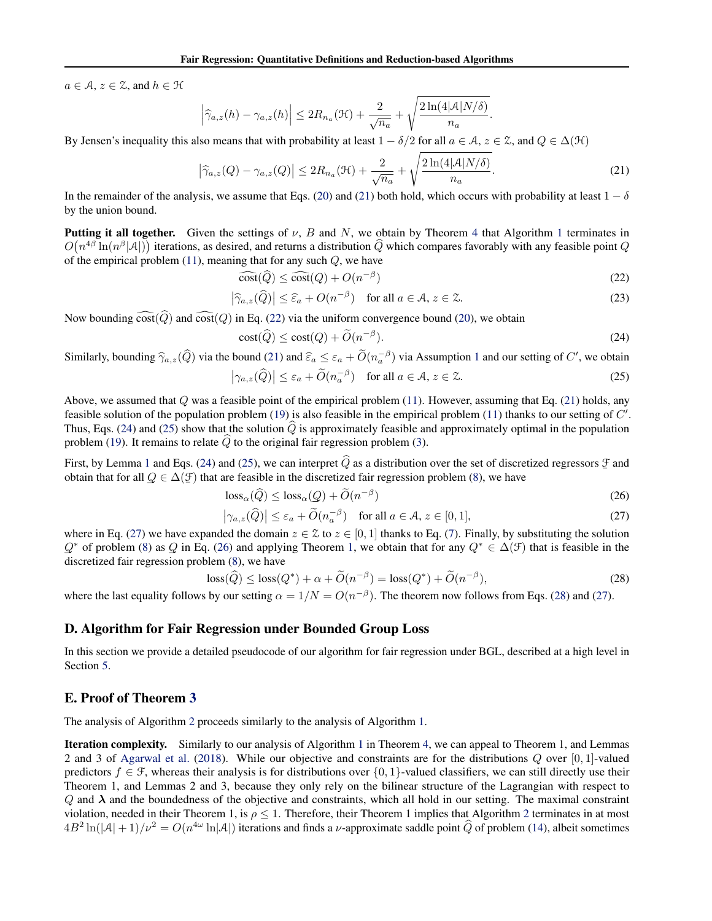<span id="page-12-0"></span> $a \in \mathcal{A}, z \in \mathcal{Z}$ , and  $h \in \mathcal{H}$ 

$$
\left|\widehat{\gamma}_{a,z}(h) - \gamma_{a,z}(h)\right| \leq 2R_{n_a}(\mathfrak{H}) + \frac{2}{\sqrt{n_a}} + \sqrt{\frac{2\ln(4|\mathcal{A}|N/\delta)}{n_a}}.
$$

By Jensen's inequality this also means that with probability at least  $1 - \delta/2$  for all  $a \in A$ ,  $z \in \mathcal{Z}$ , and  $Q \in \Delta(\mathcal{H})$ 

$$
\left|\widehat{\gamma}_{a,z}(Q) - \gamma_{a,z}(Q)\right| \le 2R_{n_a}(\mathcal{H}) + \frac{2}{\sqrt{n_a}} + \sqrt{\frac{2\ln(4|\mathcal{A}|N/\delta)}{n_a}}.
$$
\n(21)

In the remainder of the analysis, we assume that Eqs. [\(20\)](#page-11-0) and (21) both hold, which occurs with probability at least  $1 - \delta$ by the union bound.

**Putting it all together.** Given the settings of  $\nu$ , B and N, we obtain by Theorem [4](#page-10-0) that Algorithm [1](#page-5-0) terminates in  $O(n^{4\beta} \ln(n^{\beta}|\mathcal{A}|))$  iterations, as desired, and returns a distribution  $\hat{Q}$  which compares favorably with any feasible point  $Q$ of the empirical problem  $(11)$ , meaning that for any such  $Q$ , we have

$$
\widehat{\text{cost}}(\widehat{Q}) \le \widehat{\text{cost}}(Q) + O(n^{-\beta})\tag{22}
$$

$$
\left|\widehat{\gamma}_{a,z}(\widehat{Q})\right| \le \widehat{\varepsilon}_a + O(n^{-\beta}) \quad \text{for all } a \in \mathcal{A}, z \in \mathcal{Z}.
$$

Now bounding  $\widehat{\text{cost}}(\widehat{Q})$  and  $\widehat{\text{cost}}(Q)$  in Eq. (22) via the uniform convergence bound [\(20\)](#page-11-0), we obtain

$$
cost(\widehat{Q}) \le cost(Q) + \widetilde{O}(n^{-\beta}).\tag{24}
$$

Similarly, bounding  $\hat{\gamma}_{a,z}(\hat{Q})$  via the bound (2[1](#page-4-0)) and  $\hat{\epsilon}_a \leq \epsilon_a + \tilde{O}(n_a^{-\beta})$  via Assumption 1 and our setting of C', we obtain

$$
\left|\gamma_{a,z}(\widehat{Q})\right| \le \varepsilon_a + \widetilde{O}(n_a^{-\beta}) \quad \text{for all } a \in \mathcal{A}, z \in \mathcal{Z}.
$$

Above, we assumed that  $Q$  was a feasible point of the empirical problem [\(11\)](#page-4-0). However, assuming that Eq. (21) holds, any feasible solution of the population problem [\(19\)](#page-11-0) is also feasible in the empirical problem [\(11\)](#page-4-0) thanks to our setting of  $C'$ . Thus, Eqs. (24) and (25) show that the solution  $\hat{Q}$  is approximately feasible and approximately optimal in the population problem [\(19\)](#page-11-0). It remains to relate  $\tilde{Q}$  to the original fair regression problem [\(3\)](#page-3-0).

First, by Lemma [1](#page-4-0) and Eqs. (24) and (25), we can interpret Q as a distribution over the set of discretized regressors  $\mathcal F$  and obtain that for all  $\Omega \subset \Delta(\mathcal F)$  that are foscible in the discretized foir regression probl obtain that for all  $Q \in \Delta(\mathcal{F})$  that are feasible in the discretized fair regression problem [\(8\)](#page-4-0), we have

$$
\text{loss}_{\alpha}(\widehat{Q}) \le \text{loss}_{\alpha}(Q) + \widetilde{O}(n^{-\beta}) \tag{26}
$$

$$
\left|\gamma_{a,z}(\widehat{Q})\right| \leq \varepsilon_a + \widetilde{O}(n_a^{-\beta}) \quad \text{for all } a \in \mathcal{A}, z \in [0,1],\tag{27}
$$

where in Eq. (27) we have expanded the domain  $z \in \mathbb{Z}$  to  $z \in [0, 1]$  thanks to Eq. [\(7\)](#page-4-0). Finally, by substituting the solution  $Q^*$  of problem [\(8\)](#page-4-0) as Q in Eq. (26) and applying Theorem [1,](#page-4-0) we obtain that for any  $Q^* \in \Delta(\mathcal{F})$  that is feasible in the discretized fair regression problem [\(8\)](#page-4-0), we have

$$
loss(\widehat{Q}) \le loss(Q^*) + \alpha + \widetilde{O}(n^{-\beta}) = loss(Q^*) + \widetilde{O}(n^{-\beta}),\tag{28}
$$

where the last equality follows by our setting  $\alpha = 1/N = O(n^{-\beta})$ . The theorem now follows from Eqs. (28) and (27).

#### D. Algorithm for Fair Regression under Bounded Group Loss

In this section we provide a detailed pseudocode of our algorithm for fair regression under BGL, described at a high level in Section [5.](#page-6-0)

# E. Proof of Theorem [3](#page-6-0)

The analysis of Algorithm [2](#page-13-0) proceeds similarly to the analysis of Algorithm [1.](#page-5-0)

Iteration complexity. Similarly to our analysis of Algorithm [1](#page-5-0) in Theorem [4,](#page-10-0) we can appeal to Theorem 1, and Lemmas 2 and 3 of [Agarwal et al.](#page-8-0) [\(2018\)](#page-8-0). While our objective and constraints are for the distributions Q over [0, 1]-valued predictors  $f \in \mathcal{F}$ , whereas their analysis is for distributions over  $\{0, 1\}$ -valued classifiers, we can still directly use their Theorem 1, and Lemmas 2 and 3, because they only rely on the bilinear structure of the Lagrangian with respect to  $Q$  and  $\lambda$  and the boundedness of the objective and constraints, which all hold in our setting. The maximal constraint violation, needed in their Theorem 1, is  $\rho \leq 1$ . Therefore, their Theorem 1 implies that Algorithm [2](#page-13-0) terminates in at most  $4B^2 \ln(|\mathcal{A}| + 1)/\nu^2 = O(n^{4\omega} \ln |\mathcal{A}|)$  iterations and finds a *v*-approximate saddle point  $\hat{Q}$  of problem [\(14\)](#page-6-0), albeit sometimes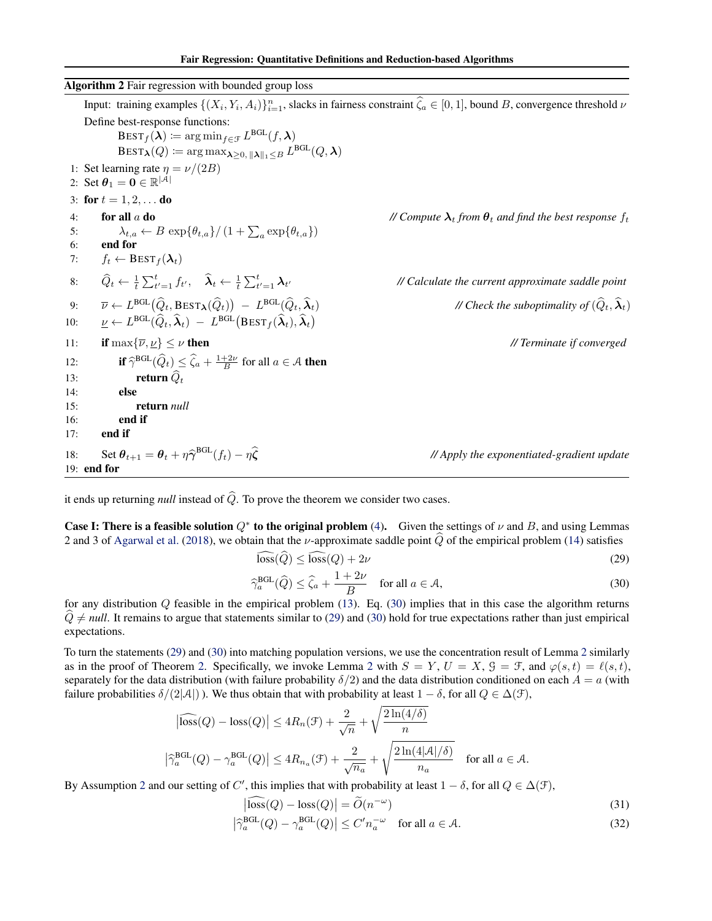|  |  | Fair Regression: Quantitative Definitions and Reduction-based Algorithms |
|--|--|--------------------------------------------------------------------------|
|  |  |                                                                          |

<span id="page-13-0"></span>

| Algorithm 2 Fair regression with bounded group loss                                                                                                                                           |                                                                                                                                                         |
|-----------------------------------------------------------------------------------------------------------------------------------------------------------------------------------------------|---------------------------------------------------------------------------------------------------------------------------------------------------------|
|                                                                                                                                                                                               | Input: training examples $\{(X_i, Y_i, A_i)\}_{i=1}^n$ , slacks in fairness constraint $\hat{\zeta}_a \in [0,1]$ , bound B, convergence threshold $\nu$ |
| Define best-response functions:                                                                                                                                                               |                                                                                                                                                         |
| $\text{BEST}_f(\boldsymbol{\lambda}) \coloneqq \argmin_{f \in \mathcal{F}} L^{\text{BGL}}(f, \boldsymbol{\lambda})$                                                                           |                                                                                                                                                         |
| $\text{BEST}_{\pmb{\lambda}}(Q) \coloneqq \arg\max_{\pmb{\lambda} > 0, \ \pmb{\lambda}\ _1 \leq B} L^{\text{BGL}}(Q, \pmb{\lambda})$                                                          |                                                                                                                                                         |
| 1: Set learning rate $\eta = \nu/(2B)$                                                                                                                                                        |                                                                                                                                                         |
| 2: Set $\theta_1 = 0 \in \mathbb{R}^{ \mathcal{A} }$                                                                                                                                          |                                                                                                                                                         |
| 3: for $t = 1, 2, $ do                                                                                                                                                                        |                                                                                                                                                         |
| for all $a$ do<br>4:                                                                                                                                                                          | // Compute $\lambda_t$ from $\theta_t$ and find the best response $f_t$                                                                                 |
| $\lambda_{t,a} \leftarrow B \exp\{\theta_{t,a}\} / (1 + \sum_{a} \exp\{\theta_{t,a}\})$<br>5:                                                                                                 |                                                                                                                                                         |
| end for<br>6:                                                                                                                                                                                 |                                                                                                                                                         |
| $f_t \leftarrow \text{BEST}_f(\boldsymbol{\lambda}_t)$<br>7:                                                                                                                                  |                                                                                                                                                         |
| $\widehat{Q}_t \leftarrow \frac{1}{t} \sum_{t'=1}^t f_{t'}, \quad \widehat{\boldsymbol{\lambda}}_t \leftarrow \frac{1}{t} \sum_{t'=1}^t \boldsymbol{\lambda}_{t'}$<br>8:                      | // Calculate the current approximate saddle point                                                                                                       |
| $\overline{\nu} \leftarrow L^{\text{BGL}}(\widehat{Q}_t, \text{BEST}_{\bm{\lambda}}(\widehat{Q}_t)) - L^{\text{BGL}}(\widehat{Q}_t, \widehat{\bm{\lambda}}_t)$<br>9:                          | // Check the suboptimality of $(\widehat{Q}_t, \widehat{X}_t)$                                                                                          |
| $\nu \leftarrow L^{\text{BGL}}(\widehat{Q}_t, \widehat{\boldsymbol{\lambda}}_t) - L^{\text{BGL}}(\text{BEST}_{f}(\widehat{\boldsymbol{\lambda}}_t), \widehat{\boldsymbol{\lambda}}_t)$<br>10: |                                                                                                                                                         |
| <b>if</b> max $\{\overline{\nu}, \underline{\nu}\} \leq \nu$ then<br>11:                                                                                                                      | // Terminate if converged                                                                                                                               |
| if $\widehat{\gamma}^{\text{BGL}}(\widehat{Q}_t) \leq \widehat{\zeta}_a + \frac{1+2\nu}{B}$ for all $a \in \mathcal{A}$ then<br>12:                                                           |                                                                                                                                                         |
| return $\widehat{Q}_t$<br>13:                                                                                                                                                                 |                                                                                                                                                         |
| 14:<br>else                                                                                                                                                                                   |                                                                                                                                                         |
| return null<br>15:                                                                                                                                                                            |                                                                                                                                                         |
| end if<br>16:<br>end if<br>17:                                                                                                                                                                |                                                                                                                                                         |
|                                                                                                                                                                                               |                                                                                                                                                         |
| Set $\theta_{t+1} = \theta_t + \eta \hat{\gamma}^{\text{BGL}}(f_t) - \eta \hat{\zeta}$<br>18:                                                                                                 | // Apply the exponentiated-gradient update                                                                                                              |
| $19:$ end for                                                                                                                                                                                 |                                                                                                                                                         |

it ends up returning *null* instead of  $\hat{Q}$ . To prove the theorem we consider two cases.

Case I: There is a feasible solution  $Q^*$  to the original problem [\(4\)](#page-3-0). Given the settings of  $\nu$  and  $B$ , and using Lemmas 2 and 3 of [Agarwal et al.](#page-8-0) [\(2018\)](#page-8-0), we obtain that the *ν*-approximate saddle point  $\hat{Q}$  of the empirical problem [\(14\)](#page-6-0) satisfies

$$
\text{loss}(Q) \le \text{loss}(Q) + 2\nu \tag{29}
$$

$$
\widehat{\gamma}_a^{\text{BGL}}(\widehat{Q}) \le \widehat{\zeta}_a + \frac{1+2\nu}{B} \quad \text{for all } a \in \mathcal{A},\tag{30}
$$

for any distribution  $Q$  feasible in the empirical problem [\(13\)](#page-6-0). Eq. (30) implies that in this case the algorithm returns  $Q \neq null$ . It remains to argue that statements similar to (29) and (30) hold for true expectations rather than just empirical expectations.

To turn the statements (29) and (30) into matching population versions, we use the concentration result of Lemma [2](#page-11-0) similarly as in the proof of Theorem [2.](#page-4-0) Specifically, we invoke Lemma [2](#page-11-0) with  $S = Y$ ,  $U = X$ ,  $\mathcal{G} = \mathcal{F}$ , and  $\varphi(s, t) = \ell(s, t)$ , separately for the data distribution (with failure probability  $\delta/2$ ) and the data distribution conditioned on each  $A = a$  (with failure probabilities  $\delta/(2|\mathcal{A}|)$ ). We thus obtain that with probability at least  $1 - \delta$ , for all  $Q \in \Delta(\mathcal{F})$ ,

$$
|\widehat{\text{loss}}(Q) - \text{loss}(Q)| \le 4R_n(\mathcal{F}) + \frac{2}{\sqrt{n}} + \sqrt{\frac{2\ln(4/\delta)}{n}}
$$
  

$$
|\widehat{\gamma}_a^{\text{BGL}}(Q) - \gamma_a^{\text{BGL}}(Q)| \le 4R_{n_a}(\mathcal{F}) + \frac{2}{\sqrt{n_a}} + \sqrt{\frac{2\ln(4|\mathcal{A}|/\delta)}{n_a}} \quad \text{for all } a \in \mathcal{A}.
$$

By Assumption [2](#page-6-0) and our setting of C', this implies that with probability at least  $1 - \delta$ , for all  $Q \in \Delta(\mathcal{F})$ ,

$$
\left| \widehat{\text{loss}}(Q) - \text{loss}(Q) \right| = \widetilde{O}(n^{-\omega}) \tag{31}
$$

$$
\left|\widehat{\gamma}_a^{\text{BGL}}(Q) - \gamma_a^{\text{BGL}}(Q)\right| \le C' n_a^{-\omega} \quad \text{for all } a \in \mathcal{A}.
$$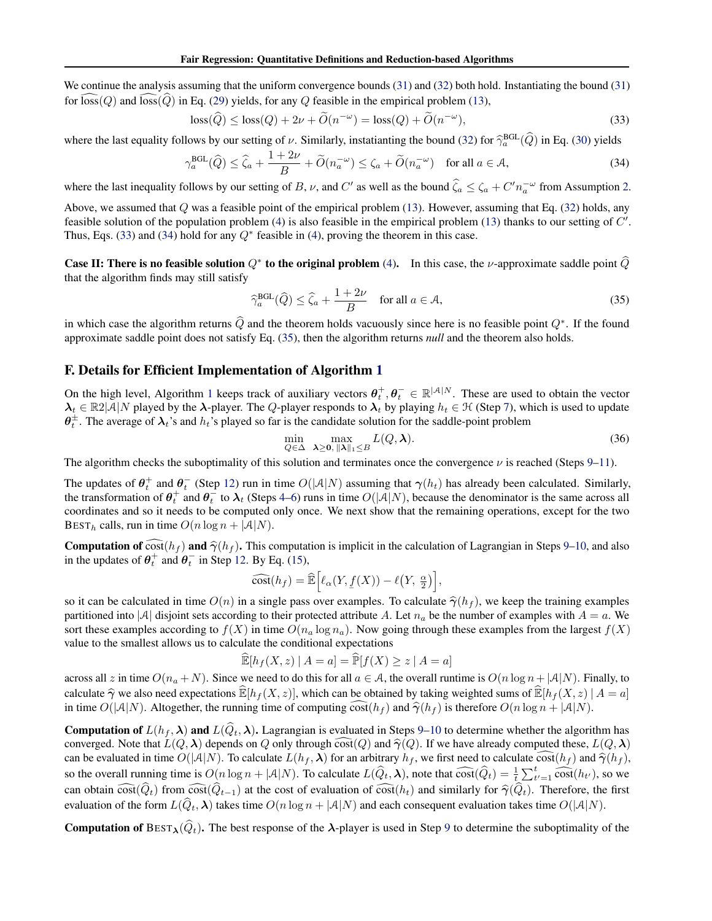<span id="page-14-0"></span>We continue the analysis assuming that the uniform convergence bounds [\(31\)](#page-13-0) and [\(32\)](#page-13-0) both hold. Instantiating the bound [\(31\)](#page-13-0) for  $\text{loss}(Q)$  and  $\text{loss}(Q)$  in Eq. [\(29\)](#page-13-0) yields, for any Q feasible in the empirical problem [\(13\)](#page-6-0),

$$
loss(\widehat{Q}) \le loss(Q) + 2\nu + \widetilde{O}(n^{-\omega}) = loss(Q) + \widetilde{O}(n^{-\omega}),
$$
\n(33)

where the last equality follows by our setting of  $\nu$ . Similarly, instatianting the bound [\(32\)](#page-13-0) for  $\hat{\gamma}_a^{\text{BGL}}(\hat{Q})$  in Eq. [\(30\)](#page-13-0) yields

$$
\gamma_a^{\text{BGL}}(\widehat{Q}) \le \widehat{\zeta}_a + \frac{1+2\nu}{B} + \widetilde{O}(n_a^{-\omega}) \le \zeta_a + \widetilde{O}(n_a^{-\omega}) \quad \text{for all } a \in \mathcal{A}, \tag{34}
$$

where the last inequality follows by our setting of B,  $\nu$ , and C' as well as the bound  $\hat{\zeta}_a \le \zeta_a + C'n_a^{-\omega}$  from Assumption [2.](#page-6-0)

Above, we assumed that  $Q$  was a feasible point of the empirical problem [\(13\)](#page-6-0). However, assuming that Eq. [\(32\)](#page-13-0) holds, any feasible solution of the population problem  $(4)$  is also feasible in the empirical problem  $(13)$  thanks to our setting of  $C'$ . Thus, Eqs. (33) and (34) hold for any  $Q^*$  feasible in [\(4\)](#page-3-0), proving the theorem in this case.

**Case II: There is no feasible solution**  $Q^*$  to the original problem [\(4\)](#page-3-0). In this case, the *v*-approximate saddle point  $\hat{Q}$ that the algorithm finds may still satisfy

$$
\widehat{\gamma}_a^{\text{BGL}}(\widehat{Q}) \le \widehat{\zeta}_a + \frac{1+2\nu}{B} \quad \text{for all } a \in \mathcal{A},\tag{35}
$$

in which case the algorithm returns  $\hat{Q}$  and the theorem holds vacuously since here is no feasible point  $Q^*$ . If the found approximate saddle point does not satisfy Eq. (35), then the algorithm returns *null* and the theorem also holds.

#### F. Details for Efficient Implementation of Algorithm [1](#page-5-0)

On the high level, Algorithm [1](#page-5-0) keeps track of auxiliary vectors  $\theta_t^+$ ,  $\theta_t^- \in \mathbb{R}^{|\mathcal{A}|N}$ . These are used to obtain the vector  $\lambda_t \in \mathbb{R}2|\mathcal{A}|N$  played by the  $\lambda$ -player. The Q-player responds to  $\lambda_t$  by playing  $h_t \in \mathcal{H}$  (Step [7\)](#page-5-0), which is used to update  $\theta_t^{\pm}$ . The average of  $\lambda_t$ 's and  $h_t$ 's played so far is the candidate solution for the saddle-point problem

$$
\min_{Q \in \Delta} \max_{\lambda \ge 0, \|\lambda\|_1 \le B} L(Q, \lambda). \tag{36}
$$

The algorithm checks the suboptimality of this solution and terminates once the convergence  $\nu$  is reached (Steps [9–11\)](#page-5-0).

The updates of  $\theta_t^+$  and  $\theta_t^-$  (Step [12\)](#page-5-0) run in time  $O(|A|N)$  assuming that  $\gamma(h_t)$  has already been calculated. Similarly, the transformation of  $\theta_t^+$  and  $\theta_t^-$  to  $\lambda_t$  (Steps [4–6\)](#page-5-0) runs in time  $O(|A|N)$ , because the denominator is the same across all coordinates and so it needs to be computed only once. We next show that the remaining operations, except for the two BEST<sub>h</sub> calls, run in time  $O(n \log n + |\mathcal{A}|N)$ .

**Computation of**  $\widehat{\cos(t_{h f})}$  and  $\widehat{\gamma}(h_f)$ . This computation is implicit in the calculation of Lagrangian in Steps [9–10,](#page-5-0) and also in the updates of  $\theta_t^+$  and  $\theta_t^-$  in Step [12.](#page-5-0) By Eq. [\(15\)](#page-10-0),

$$
\widehat{\text{cost}}(h_f) = \widehat{\mathbb{E}}\Big[\ell_\alpha(Y, \underline{f}(X)) - \ell(Y, \frac{\alpha}{2})\Big],
$$

so it can be calculated in time  $O(n)$  in a single pass over examples. To calculate  $\hat{\gamma}(h_f)$ , we keep the training examples<br>partitioned into [A] disjoint sets according to their protected attribute A. Let  $n$ , be the num partitioned into |A| disjoint sets according to their protected attribute A. Let  $n_a$  be the number of examples with  $A = a$ . We sort these examples according to  $f(X)$  in time  $O(n_a \log n_a)$ . Now going through these examples from the largest  $f(X)$ value to the smallest allows us to calculate the conditional expectations

$$
\widehat{\mathbb{E}}[h_f(X,z) | A = a] = \widehat{\mathbb{P}}[f(X) \ge z | A = a]
$$

across all z in time  $O(n_a + N)$ . Since we need to do this for all  $a \in A$ , the overall runtime is  $O(n \log n + |A|N)$ . Finally, to calculate  $\hat{\gamma}$  we also need expectations  $\hat{\mathbb{E}}[h_f(X, z)]$ , which can be obtained by taking weighted sums of  $\hat{\mathbb{E}}[h_f(X, z) | A = a]$ in time  $O(|A|N)$ . Altogether, the running time of computing  $\widehat{\cos}(h_f)$  and  $\widehat{\gamma}(h_f)$  is therefore  $O(n \log n + |A|N)$ .

**Computation of**  $L(h_f, \lambda)$  and  $L(\hat{Q}_t, \lambda)$ . Lagrangian is evaluated in Steps [9–10](#page-5-0) to determine whether the algorithm has converged. Note that  $L(Q, \lambda)$  depends on Q only through  $\widehat{\cosh}(Q)$  and  $\widehat{\gamma}(Q)$ . If we have already computed these,  $L(Q, \lambda)$ can be evaluated in time  $O(|A|N)$ . To calculate  $L(h_f, \lambda)$  for an arbitrary  $h_f$ , we first need to calculate  $\widehat{\cosh}(h_f)$  and  $\widehat{\gamma}(h_f)$ , so the overall running time is  $O(n \log n + |\mathcal{A}|N)$ . To calculate  $L(\widehat{Q}_t, \lambda)$ , note that  $\widehat{\text{cost}}(\widehat{Q}_t) = \frac{1}{t} \sum_{t'=1}^{t} \widehat{\text{cost}}(h_{t'})$ , so we can obtain  $\widehat{\text{cost}}(\widehat{Q}_t)$  from  $\widehat{\text{cost}}(\widehat{Q}_{t-1})$  at the cost of evaluation of  $\widehat{\text{cost}}(h_t)$  and similarly for  $\widehat{\gamma}(\widehat{Q}_t)$ . Therefore, the first evaluation of the form  $L(\hat{Q}_t, \lambda)$  takes time  $O(n \log n + |\mathcal{A}|N)$  and each consequent evaluation takes time  $O(|\mathcal{A}|N)$ .

**Computation of BEST<sub>N</sub>** $(\hat{Q}_t)$ . The best response of the  $\lambda$ -player is used in Step [9](#page-5-0) to determine the suboptimality of the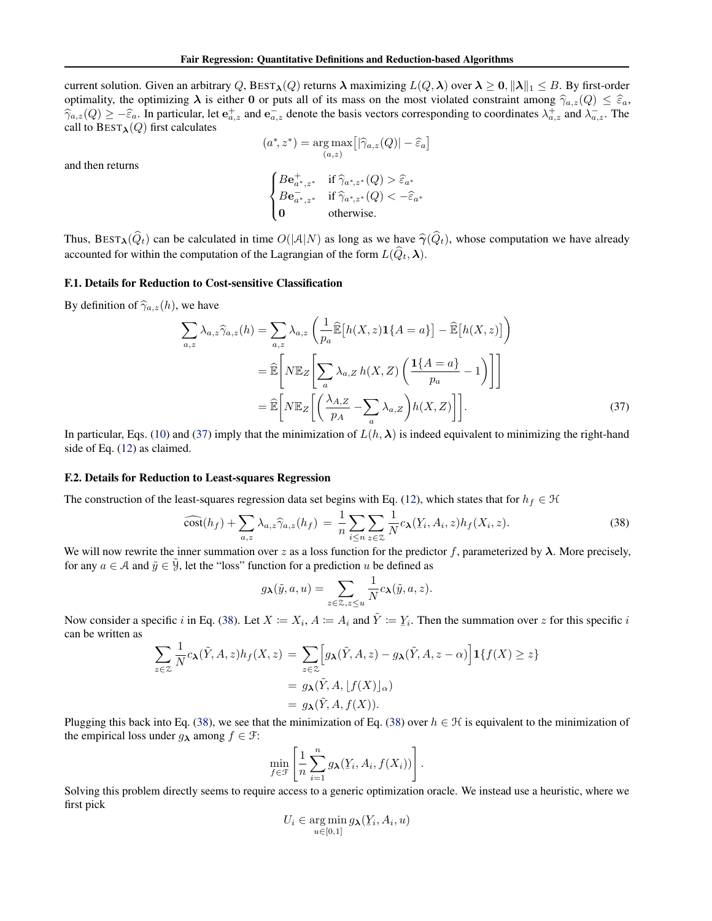<span id="page-15-0"></span>current solution. Given an arbitrary Q, BEST $_{\lambda}(Q)$  returns  $\lambda$  maximizing  $L(Q, \lambda)$  over  $\lambda \ge 0$ ,  $\|\lambda\|_1 \le B$ . By first-order optimality, the optimizing  $\lambda$  is either 0 or puts all of its mass on the most violated constraint among  $\hat{\gamma}_{a,z}(Q) \leq \hat{\epsilon}_a$ ,  $\hat{\gamma}_{a,z}(Q) \ge -\hat{\epsilon}_a$ . In particular, let  $\mathbf{e}_{a,z}^+$  and  $\mathbf{e}_{a,z}^-$  denote the basis vectors corresponding to coordinates  $\lambda_{a,z}^+$  and  $\lambda_{a,z}^-$ . The call to BEST,  $(\Omega)$  first calculates call to  $\text{BEST}_{\lambda}(Q)$  first calculates

$$
(a^*, z^*) = \underset{(a,z)}{\arg \max} [|\hat{\gamma}_{a,z}(Q)| - \hat{\varepsilon}_a]
$$

and then returns

$$
\begin{cases} B\mathbf{e}^+_{a^*,z^*} & \text{if } \widehat{\gamma}_{a^*,z^*}(Q) > \widehat{\varepsilon}_{a^*} \\ B\mathbf{e}^-_{a^*,z^*} & \text{if } \widehat{\gamma}_{a^*,z^*}(Q) < -\widehat{\varepsilon}_{a^*} \\ \mathbf{0} & \text{otherwise.} \end{cases}
$$

Thus,  $\text{BEST}_\lambda(\widehat{Q}_t)$  can be calculated in time  $O(|A|N)$  as long as we have  $\widehat{\gamma}(\widehat{Q}_t)$ , whose computation we have already accounted for within the computation of the Lagrangian of the form  $L(\widehat{Q}_t, \lambda)$ .

#### F.1. Details for Reduction to Cost-sensitive Classification

By definition of  $\hat{\gamma}_{a,z}(h)$ , we have

$$
\sum_{a,z} \lambda_{a,z} \hat{\gamma}_{a,z}(h) = \sum_{a,z} \lambda_{a,z} \left( \frac{1}{p_a} \widehat{\mathbb{E}} \left[ h(X,z) \mathbf{1} \{ A = a \} \right] - \widehat{\mathbb{E}} \left[ h(X,z) \right] \right)
$$
  

$$
= \widehat{\mathbb{E}} \left[ N \mathbb{E}_Z \left[ \sum_a \lambda_{a,Z} h(X,Z) \left( \frac{\mathbf{1} \{ A = a \} }{p_a} - 1 \right) \right] \right]
$$
  

$$
= \widehat{\mathbb{E}} \left[ N \mathbb{E}_Z \left[ \left( \frac{\lambda_{A,Z}}{p_A} - \sum_a \lambda_{a,Z} \right) h(X,Z) \right] \right].
$$
 (37)

In particular, Eqs. [\(10\)](#page-4-0) and (37) imply that the minimization of  $L(h, \lambda)$  is indeed equivalent to minimizing the right-hand side of Eq. [\(12\)](#page-5-0) as claimed.

#### F.2. Details for Reduction to Least-squares Regression

The construction of the least-squares regression data set begins with Eq. [\(12\)](#page-5-0), which states that for  $h_f \in \mathcal{H}$ 

$$
\widehat{\text{cost}}(h_f) + \sum_{a,z} \lambda_{a,z} \widehat{\gamma}_{a,z}(h_f) = \frac{1}{n} \sum_{i \le n} \sum_{z \in \mathcal{Z}} \frac{1}{N} c_{\lambda}(Y_i, A_i, z) h_f(X_i, z). \tag{38}
$$

We will now rewrite the inner summation over z as a loss function for the predictor f, parameterized by  $\lambda$ . More precisely, for any  $a \in \mathcal{A}$  and  $\tilde{y} \in \tilde{y}$ , let the "loss" function for a prediction u be defined as

$$
g_{\boldsymbol{\lambda}}(\tilde{y}, a, u) = \sum_{z \in \mathbb{Z}, z \le u} \frac{1}{N} c_{\boldsymbol{\lambda}}(\tilde{y}, a, z).
$$

Now consider a specific i in Eq. (38). Let  $X := X_i$ ,  $A := A_i$  and  $\tilde{Y} := Y_i$ . Then the summation over z for this specific i can be written as

$$
\sum_{z \in \mathcal{Z}} \frac{1}{N} c_{\lambda}(\tilde{Y}, A, z) h_f(X, z) = \sum_{z \in \mathcal{Z}} \Big[ g_{\lambda}(\tilde{Y}, A, z) - g_{\lambda}(\tilde{Y}, A, z - \alpha) \Big] \mathbf{1} \{ f(X) \ge z \}
$$

$$
= g_{\lambda}(\tilde{Y}, A, [f(X)]_{\alpha})
$$

$$
= g_{\lambda}(\tilde{Y}, A, f(X)).
$$

Plugging this back into Eq. (38), we see that the minimization of Eq. (38) over  $h \in \mathcal{H}$  is equivalent to the minimization of the empirical loss under  $g_{\lambda}$  among  $f \in \mathcal{F}$ :

$$
\min_{f \in \mathcal{F}} \left[ \frac{1}{n} \sum_{i=1}^n g_{\boldsymbol{\lambda}}(Y_i, A_i, f(X_i)) \right].
$$

Solving this problem directly seems to require access to a generic optimization oracle. We instead use a heuristic, where we first pick

$$
U_i \in \argmin_{u \in [0,1]} g_{\lambda}(Y_i, A_i, u)
$$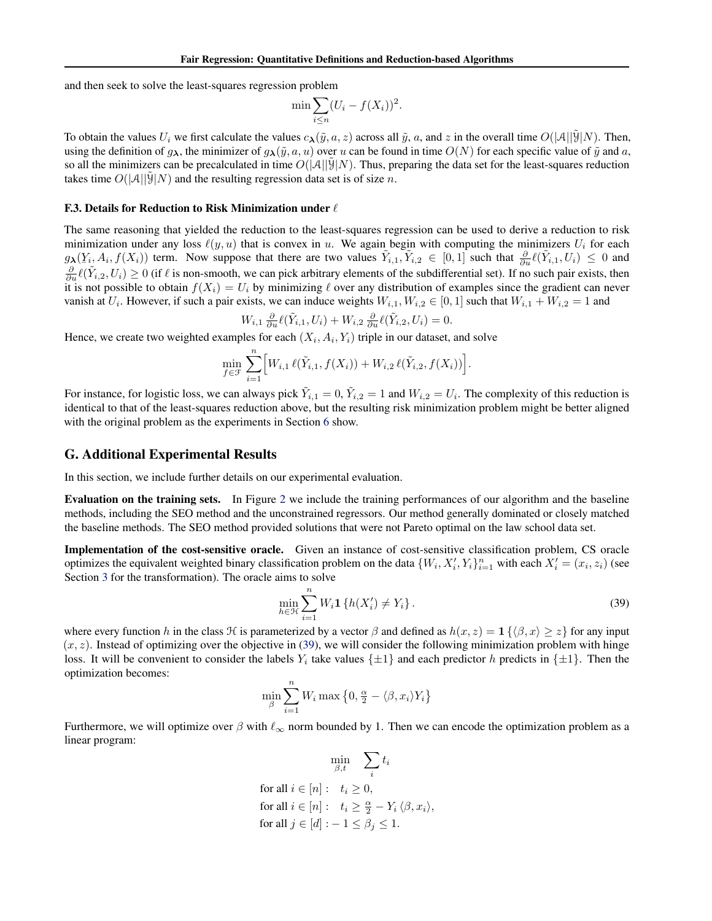<span id="page-16-0"></span>and then seek to solve the least-squares regression problem

$$
\min \sum_{i \le n} (U_i - f(X_i))^2.
$$

To obtain the values  $U_i$  we first calculate the values  $c_{\lambda}(\tilde{y}, a, z)$  across all  $\tilde{y}$ , a, and z in the overall time  $O(|A||\tilde{Y}|N)$ . Then, using the definition of  $g_{\lambda}$ , the minimizer of  $g_{\lambda}(\tilde{y}, a, u)$  over u can be found in time  $O(N)$  for each specific value of  $\tilde{y}$  and a, so all the minimizers can be precalculated in time  $O(|A||\hat{Y}|N)$ . Thus, preparing the data set for the least-squares reduction takes time  $O(|A||\hat{y}|N)$  and the resulting regression data set is of size n.

#### F.3. Details for Reduction to Risk Minimization under  $\ell$

The same reasoning that yielded the reduction to the least-squares regression can be used to derive a reduction to risk minimization under any loss  $\ell(y, u)$  that is convex in u. We again begin with computing the minimizers  $U_i$  for each  $g_{\lambda}(Y_i, A_i, f(X_i))$  term. Now suppose that there are two values  $\tilde{Y}_{i,1}, \tilde{Y}_{i,2} \in [0,1]$  such that  $\frac{\partial}{\partial u} \ell(\tilde{Y}_{i,1}, U_i) \leq 0$  and  $\frac{\partial}{\partial u} \ell(\tilde{Y}_{i,2}, U_i) \ge 0$  (if  $\ell$  is non-smooth, we can pick arbitrary elements of the subdifferential set). If no such pair exists, then it is not possible to obtain  $f(X_i) = U_i$  by minimizing  $\ell$  over any distribution of examples since the gradient can never vanish at  $U_i$ . However, if such a pair exists, we can induce weights  $W_{i,1}, W_{i,2} \in [0,1]$  such that  $W_{i,1} + W_{i,2} = 1$  and

$$
W_{i,1} \frac{\partial}{\partial u} \ell(\tilde{Y}_{i,1}, U_i) + W_{i,2} \frac{\partial}{\partial u} \ell(\tilde{Y}_{i,2}, U_i) = 0.
$$

Hence, we create two weighted examples for each  $(X_i, A_i, Y_i)$  triple in our dataset, and solve

$$
\min_{f \in \mathcal{F}} \sum_{i=1}^n \Big[ W_{i,1} \, \ell(\tilde{Y}_{i,1}, f(X_i)) + W_{i,2} \, \ell(\tilde{Y}_{i,2}, f(X_i)) \Big].
$$

For instance, for logistic loss, we can always pick  $\tilde{Y}_{i,1} = 0$ ,  $\tilde{Y}_{i,2} = 1$  and  $W_{i,2} = U_i$ . The complexity of this reduction is identical to that of the least-squares reduction above, but the resulting risk minimization problem might be better aligned with the original problem as the experiments in Section [6](#page-6-0) show.

#### G. Additional Experimental Results

In this section, we include further details on our experimental evaluation.

Evaluation on the training sets. In Figure [2](#page-17-0) we include the training performances of our algorithm and the baseline methods, including the SEO method and the unconstrained regressors. Our method generally dominated or closely matched the baseline methods. The SEO method provided solutions that were not Pareto optimal on the law school data set.

Implementation of the cost-sensitive oracle. Given an instance of cost-sensitive classification problem, CS oracle optimizes the equivalent weighted binary classification problem on the data  $\{W_i, X'_i, Y_i\}_{i=1}^n$  with each  $X'_i = (x_i, z_i)$  (see Section [3](#page-3-0) for the transformation). The oracle aims to solve

$$
\min_{h \in \mathcal{H}} \sum_{i=1}^{n} W_i \mathbf{1} \{ h(X'_i) \neq Y_i \} . \tag{39}
$$

where every function h in the class H is parameterized by a vector  $\beta$  and defined as  $h(x, z) = 1 \{ \langle \beta, x \rangle \geq z \}$  for any input  $(x, z)$ . Instead of optimizing over the objective in (39), we will consider the following minimization problem with hinge loss. It will be convenient to consider the labels  $Y_i$  take values  $\{\pm 1\}$  and each predictor h predicts in  $\{\pm 1\}$ . Then the optimization becomes:

$$
\min_{\beta} \sum_{i=1}^{n} W_i \max \left\{ 0, \frac{\alpha}{2} - \langle \beta, x_i \rangle Y_i \right\}
$$

Furthermore, we will optimize over  $\beta$  with  $\ell_{\infty}$  norm bounded by 1. Then we can encode the optimization problem as a linear program:

$$
\min_{\beta,t} \sum_{i} t_i
$$
\n
$$
\text{for all } i \in [n]: \quad t_i \ge 0,
$$
\n
$$
\text{for all } i \in [n]: \quad t_i \ge \frac{\alpha}{2} - Y_i \langle \beta, x_i \rangle,
$$
\n
$$
\text{for all } j \in [d]: -1 \le \beta_j \le 1.
$$